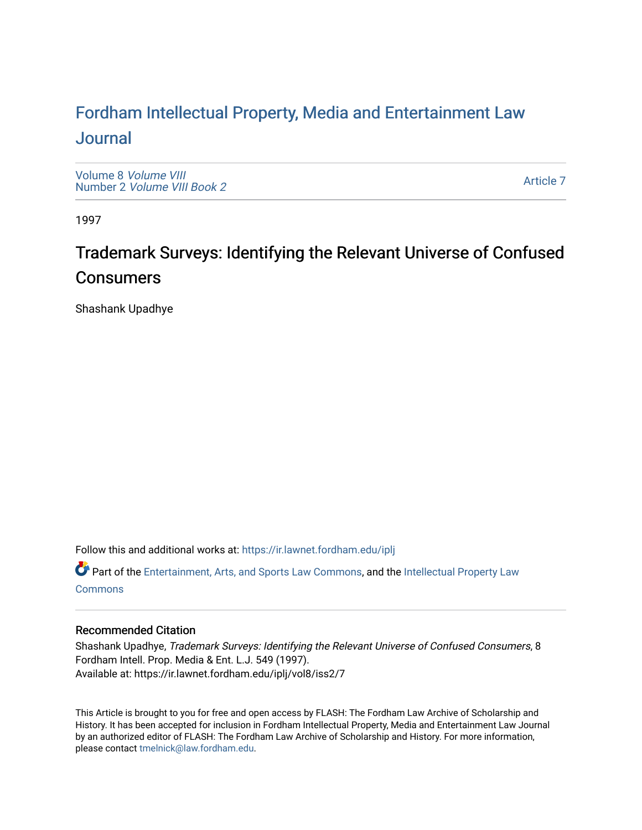# For[dham Intellectual Property, Media and Enter](https://ir.lawnet.fordham.edu/iplj)tainment Law [Journal](https://ir.lawnet.fordham.edu/iplj)

[Volume 8](https://ir.lawnet.fordham.edu/iplj/vol8) Volume VIII Number 2 [Volume VIII Book 2](https://ir.lawnet.fordham.edu/iplj/vol8/iss2)

[Article 7](https://ir.lawnet.fordham.edu/iplj/vol8/iss2/7) 

1997

# Trademark Surveys: Identifying the Relevant Universe of Confused Consumers

Shashank Upadhye

Follow this and additional works at: [https://ir.lawnet.fordham.edu/iplj](https://ir.lawnet.fordham.edu/iplj?utm_source=ir.lawnet.fordham.edu%2Fiplj%2Fvol8%2Fiss2%2F7&utm_medium=PDF&utm_campaign=PDFCoverPages) 

Part of the [Entertainment, Arts, and Sports Law Commons](http://network.bepress.com/hgg/discipline/893?utm_source=ir.lawnet.fordham.edu%2Fiplj%2Fvol8%2Fiss2%2F7&utm_medium=PDF&utm_campaign=PDFCoverPages), and the [Intellectual Property Law](http://network.bepress.com/hgg/discipline/896?utm_source=ir.lawnet.fordham.edu%2Fiplj%2Fvol8%2Fiss2%2F7&utm_medium=PDF&utm_campaign=PDFCoverPages) **[Commons](http://network.bepress.com/hgg/discipline/896?utm_source=ir.lawnet.fordham.edu%2Fiplj%2Fvol8%2Fiss2%2F7&utm_medium=PDF&utm_campaign=PDFCoverPages)** 

# Recommended Citation

Shashank Upadhye, Trademark Surveys: Identifying the Relevant Universe of Confused Consumers, 8 Fordham Intell. Prop. Media & Ent. L.J. 549 (1997). Available at: https://ir.lawnet.fordham.edu/iplj/vol8/iss2/7

This Article is brought to you for free and open access by FLASH: The Fordham Law Archive of Scholarship and History. It has been accepted for inclusion in Fordham Intellectual Property, Media and Entertainment Law Journal by an authorized editor of FLASH: The Fordham Law Archive of Scholarship and History. For more information, please contact [tmelnick@law.fordham.edu](mailto:tmelnick@law.fordham.edu).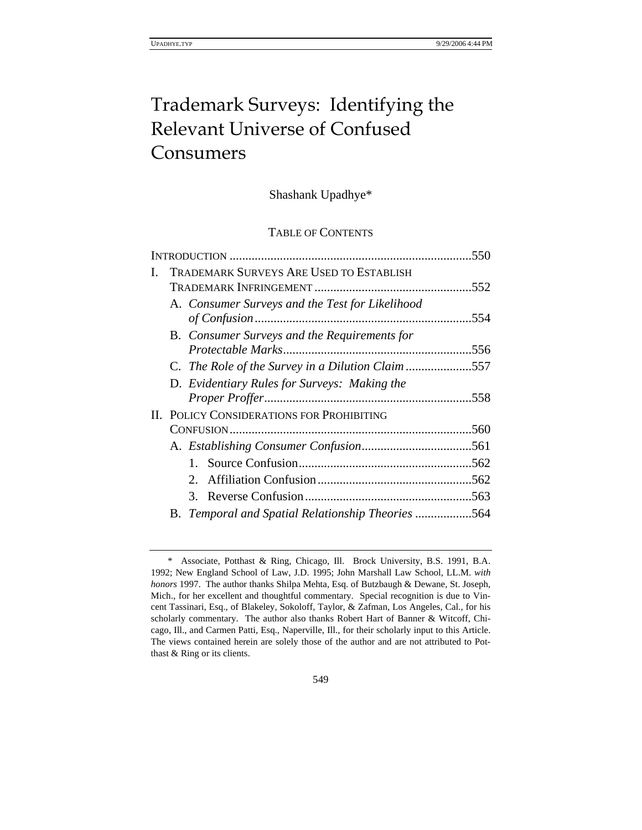# Trademark Surveys: Identifying the Relevant Universe of Confused Consumers

# Shashank Upadhye\*

# TABLE OF CONTENTS

|   |                                                     | .550 |
|---|-----------------------------------------------------|------|
| L | <b>TRADEMARK SURVEYS ARE USED TO ESTABLISH</b>      |      |
|   |                                                     | .552 |
|   | A. Consumer Surveys and the Test for Likelihood     |      |
|   |                                                     | .554 |
|   | <b>B.</b> Consumer Surveys and the Requirements for |      |
|   |                                                     | .556 |
|   | C. The Role of the Survey in a Dilution Claim 557   |      |
|   | D. Evidentiary Rules for Surveys: Making the        |      |
|   |                                                     | .558 |
|   | <b>II. POLICY CONSIDERATIONS FOR PROHIBITING</b>    |      |
|   |                                                     | .560 |
|   |                                                     |      |
|   |                                                     |      |
|   | $2_{-}$                                             |      |
|   | 3.                                                  |      |
|   | B. Temporal and Spatial Relationship Theories 564   |      |

<sup>\*</sup> Associate, Potthast & Ring, Chicago, Ill. Brock University, B.S. 1991, B.A. 1992; New England School of Law, J.D. 1995; John Marshall Law School, LL.M. *with honors* 1997. The author thanks Shilpa Mehta, Esq. of Butzbaugh & Dewane, St. Joseph, Mich., for her excellent and thoughtful commentary. Special recognition is due to Vincent Tassinari, Esq., of Blakeley, Sokoloff, Taylor, & Zafman, Los Angeles, Cal., for his scholarly commentary. The author also thanks Robert Hart of Banner & Witcoff, Chicago, Ill., and Carmen Patti, Esq., Naperville, Ill., for their scholarly input to this Article. The views contained herein are solely those of the author and are not attributed to Potthast & Ring or its clients.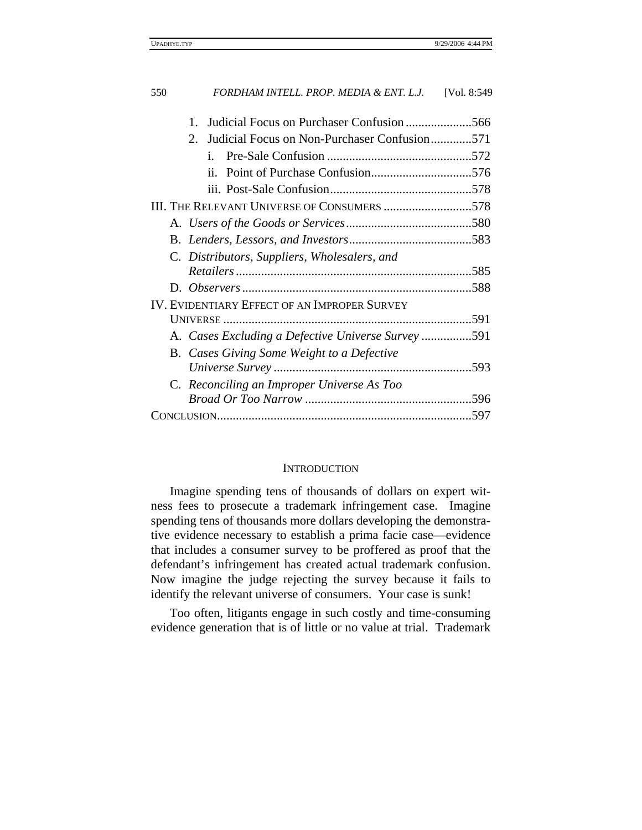| 550 | FORDHAM INTELL. PROP. MEDIA & ENT. L.J.                     | [Vol. 8:549] |
|-----|-------------------------------------------------------------|--------------|
|     | 1.                                                          |              |
|     | $2^{\circ}$<br>Judicial Focus on Non-Purchaser Confusion571 |              |
|     | $\mathbf{i}$ .                                              |              |
|     | $\ddot{\mathbf{i}}$                                         |              |
|     |                                                             |              |
|     | III. THE RELEVANT UNIVERSE OF CONSUMERS 578                 |              |
|     |                                                             |              |
|     |                                                             |              |
|     | C. Distributors, Suppliers, Wholesalers, and                |              |
|     |                                                             |              |
|     |                                                             |              |
|     | <b>IV. EVIDENTIARY EFFECT OF AN IMPROPER SURVEY</b>         |              |
|     |                                                             |              |
|     | A. Cases Excluding a Defective Universe Survey591           |              |
|     | B. Cases Giving Some Weight to a Defective                  |              |
|     |                                                             |              |
|     | C. Reconciling an Improper Universe As Too                  |              |
|     |                                                             |              |
|     |                                                             |              |

## **INTRODUCTION**

Imagine spending tens of thousands of dollars on expert witness fees to prosecute a trademark infringement case. Imagine spending tens of thousands more dollars developing the demonstrative evidence necessary to establish a prima facie case—evidence that includes a consumer survey to be proffered as proof that the defendant's infringement has created actual trademark confusion. Now imagine the judge rejecting the survey because it fails to identify the relevant universe of consumers. Your case is sunk!

Too often, litigants engage in such costly and time-consuming evidence generation that is of little or no value at trial. Trademark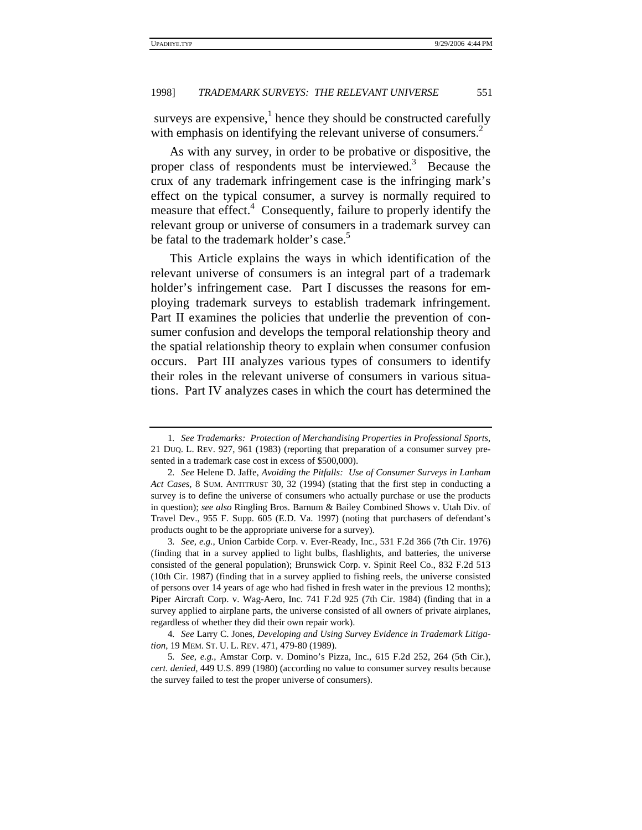surveys are expensive,<sup>1</sup> hence they should be constructed carefully with emphasis on identifying the relevant universe of consumers.<sup>2</sup>

As with any survey, in order to be probative or dispositive, the proper class of respondents must be interviewed.<sup>3</sup> Because the crux of any trademark infringement case is the infringing mark's effect on the typical consumer, a survey is normally required to measure that effect.<sup>4</sup> Consequently, failure to properly identify the relevant group or universe of consumers in a trademark survey can be fatal to the trademark holder's case.<sup>5</sup>

This Article explains the ways in which identification of the relevant universe of consumers is an integral part of a trademark holder's infringement case. Part I discusses the reasons for employing trademark surveys to establish trademark infringement. Part II examines the policies that underlie the prevention of consumer confusion and develops the temporal relationship theory and the spatial relationship theory to explain when consumer confusion occurs. Part III analyzes various types of consumers to identify their roles in the relevant universe of consumers in various situations. Part IV analyzes cases in which the court has determined the

4*. See* Larry C. Jones, *Developing and Using Survey Evidence in Trademark Litigation*, 19 MEM. ST. U. L. REV. 471, 479-80 (1989).

<sup>1</sup>*. See Trademarks: Protection of Merchandising Properties in Professional Sports*, 21 DUQ. L. REV. 927, 961 (1983) (reporting that preparation of a consumer survey presented in a trademark case cost in excess of \$500,000).

<sup>2</sup>*. See* Helene D. Jaffe, *Avoiding the Pitfalls: Use of Consumer Surveys in Lanham Act Cases*, 8 SUM. ANTITRUST 30, 32 (1994) (stating that the first step in conducting a survey is to define the universe of consumers who actually purchase or use the products in question); *see also* Ringling Bros. Barnum & Bailey Combined Shows v. Utah Div. of Travel Dev., 955 F. Supp. 605 (E.D. Va. 1997) (noting that purchasers of defendant's products ought to be the appropriate universe for a survey).

<sup>3</sup>*. See, e.g.*, Union Carbide Corp. v. Ever-Ready, Inc., 531 F.2d 366 (7th Cir. 1976) (finding that in a survey applied to light bulbs, flashlights, and batteries, the universe consisted of the general population); Brunswick Corp. v. Spinit Reel Co., 832 F.2d 513 (10th Cir. 1987) (finding that in a survey applied to fishing reels, the universe consisted of persons over 14 years of age who had fished in fresh water in the previous 12 months); Piper Aircraft Corp. v. Wag-Aero, Inc. 741 F.2d 925 (7th Cir. 1984) (finding that in a survey applied to airplane parts, the universe consisted of all owners of private airplanes, regardless of whether they did their own repair work).

<sup>5</sup>*. See, e.g.*, Amstar Corp. v. Domino's Pizza, Inc., 615 F.2d 252, 264 (5th Cir.), *cert. denied*, 449 U.S. 899 (1980) (according no value to consumer survey results because the survey failed to test the proper universe of consumers).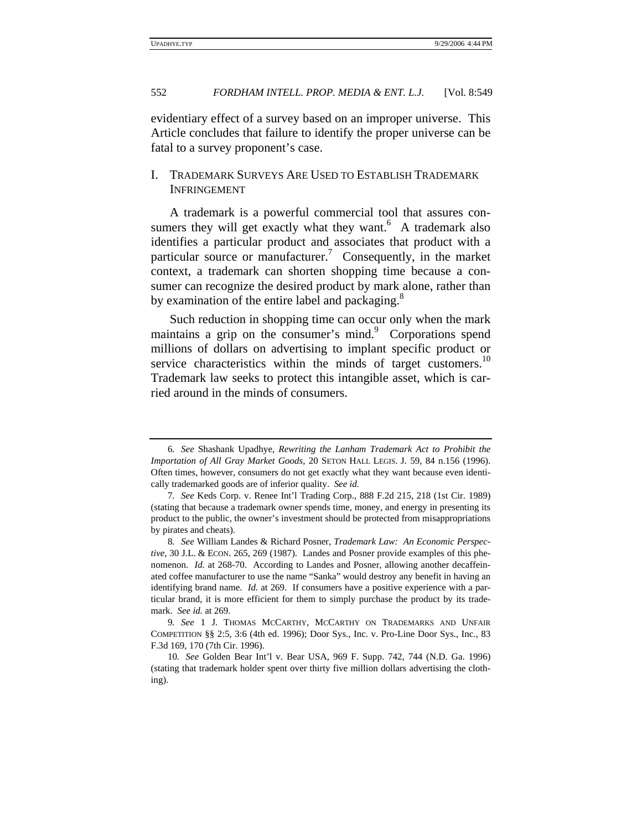evidentiary effect of a survey based on an improper universe. This Article concludes that failure to identify the proper universe can be fatal to a survey proponent's case.

# I. TRADEMARK SURVEYS ARE USED TO ESTABLISH TRADEMARK INFRINGEMENT

A trademark is a powerful commercial tool that assures consumers they will get exactly what they want. $6$  A trademark also identifies a particular product and associates that product with a particular source or manufacturer.<sup>7</sup> Consequently, in the market context, a trademark can shorten shopping time because a consumer can recognize the desired product by mark alone, rather than by examination of the entire label and packaging.<sup>8</sup>

Such reduction in shopping time can occur only when the mark maintains a grip on the consumer's mind.<sup>9</sup> Corporations spend millions of dollars on advertising to implant specific product or service characteristics within the minds of target customers.<sup>10</sup> Trademark law seeks to protect this intangible asset, which is carried around in the minds of consumers.

<sup>6</sup>*. See* Shashank Upadhye, *Rewriting the Lanham Trademark Act to Prohibit the Importation of All Gray Market Goods*, 20 SETON HALL LEGIS. J. 59, 84 n.156 (1996). Often times, however, consumers do not get exactly what they want because even identically trademarked goods are of inferior quality. *See id.*

<sup>7</sup>*. See* Keds Corp. v. Renee Int'l Trading Corp., 888 F.2d 215, 218 (1st Cir. 1989) (stating that because a trademark owner spends time, money, and energy in presenting its product to the public, the owner's investment should be protected from misappropriations by pirates and cheats).

<sup>8</sup>*. See* William Landes & Richard Posner, *Trademark Law: An Economic Perspective*, 30 J.L. & ECON. 265, 269 (1987). Landes and Posner provide examples of this phenomenon. *Id.* at 268-70. According to Landes and Posner, allowing another decaffeinated coffee manufacturer to use the name "Sanka" would destroy any benefit in having an identifying brand name. *Id.* at 269. If consumers have a positive experience with a particular brand, it is more efficient for them to simply purchase the product by its trademark. *See id.* at 269.

<sup>9</sup>*. See* 1 J. THOMAS MCCARTHY, MCCARTHY ON TRADEMARKS AND UNFAIR COMPETITION §§ 2:5, 3:6 (4th ed. 1996); Door Sys., Inc. v. Pro-Line Door Sys., Inc., 83 F.3d 169, 170 (7th Cir. 1996).

<sup>10</sup>*. See* Golden Bear Int'l v. Bear USA, 969 F. Supp. 742, 744 (N.D. Ga. 1996) (stating that trademark holder spent over thirty five million dollars advertising the clothing).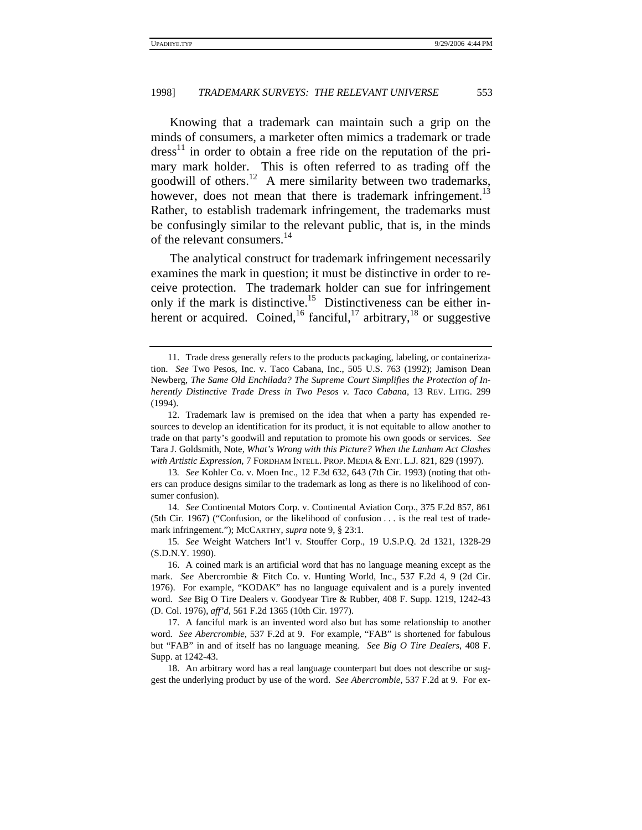Knowing that a trademark can maintain such a grip on the minds of consumers, a marketer often mimics a trademark or trade  $dress<sup>11</sup>$  in order to obtain a free ride on the reputation of the primary mark holder. This is often referred to as trading off the goodwill of others.<sup>12</sup> A mere similarity between two trademarks, however, does not mean that there is trademark infringement.<sup>13</sup> Rather, to establish trademark infringement, the trademarks must be confusingly similar to the relevant public, that is, in the minds of the relevant consumers.<sup>14</sup>

The analytical construct for trademark infringement necessarily examines the mark in question; it must be distinctive in order to receive protection. The trademark holder can sue for infringement only if the mark is distinctive.<sup>15</sup> Distinctiveness can be either inherent or acquired. Coined,<sup>16</sup> fanciful,<sup>17</sup> arbitrary,<sup>18</sup> or suggestive

<sup>11.</sup> Trade dress generally refers to the products packaging, labeling, or containerization. *See* Two Pesos, Inc. v. Taco Cabana, Inc., 505 U.S. 763 (1992); Jamison Dean Newberg, *The Same Old Enchilada? The Supreme Court Simplifies the Protection of Inherently Distinctive Trade Dress in Two Pesos v. Taco Cabana*, 13 REV. LITIG. 299 (1994).

<sup>12.</sup> Trademark law is premised on the idea that when a party has expended resources to develop an identification for its product, it is not equitable to allow another to trade on that party's goodwill and reputation to promote his own goods or services. *See* Tara J. Goldsmith, Note, *What's Wrong with this Picture? When the Lanham Act Clashes with Artistic Expression*, 7 FORDHAM INTELL. PROP. MEDIA & ENT. L.J. 821, 829 (1997).

<sup>13</sup>*. See* Kohler Co. v. Moen Inc., 12 F.3d 632, 643 (7th Cir. 1993) (noting that others can produce designs similar to the trademark as long as there is no likelihood of consumer confusion).

<sup>14</sup>*. See* Continental Motors Corp. v. Continental Aviation Corp., 375 F.2d 857, 861 (5th Cir. 1967) ("Confusion, or the likelihood of confusion . . . is the real test of trademark infringement."); MCCARTHY, *supra* note 9, § 23:1.

<sup>15</sup>*. See* Weight Watchers Int'l v. Stouffer Corp., 19 U.S.P.Q. 2d 1321, 1328-29 (S.D.N.Y. 1990).

<sup>16.</sup> A coined mark is an artificial word that has no language meaning except as the mark. *See* Abercrombie & Fitch Co. v. Hunting World, Inc., 537 F.2d 4, 9 (2d Cir. 1976). For example, "KODAK" has no language equivalent and is a purely invented word. *See* Big O Tire Dealers v. Goodyear Tire & Rubber, 408 F. Supp. 1219, 1242-43 (D. Col. 1976), *aff'd*, 561 F.2d 1365 (10th Cir. 1977).

<sup>17.</sup> A fanciful mark is an invented word also but has some relationship to another word. *See Abercrombie*, 537 F.2d at 9. For example, "FAB" is shortened for fabulous but "FAB" in and of itself has no language meaning. *See Big O Tire Dealers*, 408 F. Supp. at 1242-43.

<sup>18.</sup> An arbitrary word has a real language counterpart but does not describe or suggest the underlying product by use of the word. *See Abercrombie*, 537 F.2d at 9. For ex-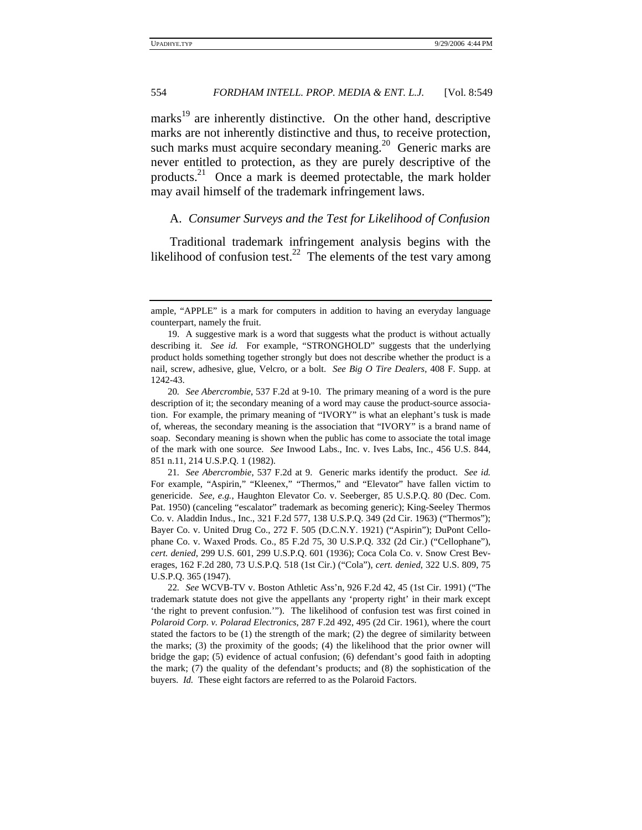marks<sup>19</sup> are inherently distinctive. On the other hand, descriptive marks are not inherently distinctive and thus, to receive protection, such marks must acquire secondary meaning.<sup>20</sup> Generic marks are never entitled to protection, as they are purely descriptive of the products.<sup>21</sup> Once a mark is deemed protectable, the mark holder may avail himself of the trademark infringement laws.

## A. *Consumer Surveys and the Test for Likelihood of Confusion*

Traditional trademark infringement analysis begins with the likelihood of confusion test.<sup>22</sup> The elements of the test vary among

ample, "APPLE" is a mark for computers in addition to having an everyday language counterpart, namely the fruit.

<sup>19.</sup> A suggestive mark is a word that suggests what the product is without actually describing it. *See id.* For example, "STRONGHOLD" suggests that the underlying product holds something together strongly but does not describe whether the product is a nail, screw, adhesive, glue, Velcro, or a bolt. *See Big O Tire Dealers*, 408 F. Supp. at 1242-43.

<sup>20</sup>*. See Abercrombie*, 537 F.2d at 9-10. The primary meaning of a word is the pure description of it; the secondary meaning of a word may cause the product-source association. For example, the primary meaning of "IVORY" is what an elephant's tusk is made of, whereas, the secondary meaning is the association that "IVORY" is a brand name of soap. Secondary meaning is shown when the public has come to associate the total image of the mark with one source. *See* Inwood Labs., Inc. v. Ives Labs, Inc., 456 U.S. 844, 851 n.11, 214 U.S.P.Q. 1 (1982).

<sup>21</sup>*. See Abercrombie*, 537 F.2d at 9. Generic marks identify the product. *See id.* For example, "Aspirin," "Kleenex," "Thermos," and "Elevator" have fallen victim to genericide. *See, e.g.*, Haughton Elevator Co. v. Seeberger, 85 U.S.P.Q. 80 (Dec. Com. Pat. 1950) (canceling "escalator" trademark as becoming generic); King-Seeley Thermos Co. v. Aladdin Indus., Inc., 321 F.2d 577, 138 U.S.P.Q. 349 (2d Cir. 1963) ("Thermos"); Bayer Co. v. United Drug Co., 272 F. 505 (D.C.N.Y. 1921) ("Aspirin"); DuPont Cellophane Co. v. Waxed Prods. Co., 85 F.2d 75, 30 U.S.P.Q. 332 (2d Cir.) ("Cellophane"), *cert. denied*, 299 U.S. 601, 299 U.S.P.Q. 601 (1936); Coca Cola Co. v. Snow Crest Beverages, 162 F.2d 280, 73 U.S.P.Q. 518 (1st Cir.) ("Cola"), *cert. denied*, 322 U.S. 809, 75 U.S.P.Q. 365 (1947).

<sup>22</sup>*. See* WCVB-TV v. Boston Athletic Ass'n, 926 F.2d 42, 45 (1st Cir. 1991) ("The trademark statute does not give the appellants any 'property right' in their mark except 'the right to prevent confusion.'"). The likelihood of confusion test was first coined in *Polaroid Corp. v. Polarad Electronics*, 287 F.2d 492, 495 (2d Cir. 1961), where the court stated the factors to be  $(1)$  the strength of the mark;  $(2)$  the degree of similarity between the marks; (3) the proximity of the goods; (4) the likelihood that the prior owner will bridge the gap; (5) evidence of actual confusion; (6) defendant's good faith in adopting the mark; (7) the quality of the defendant's products; and (8) the sophistication of the buyers. *Id.* These eight factors are referred to as the Polaroid Factors.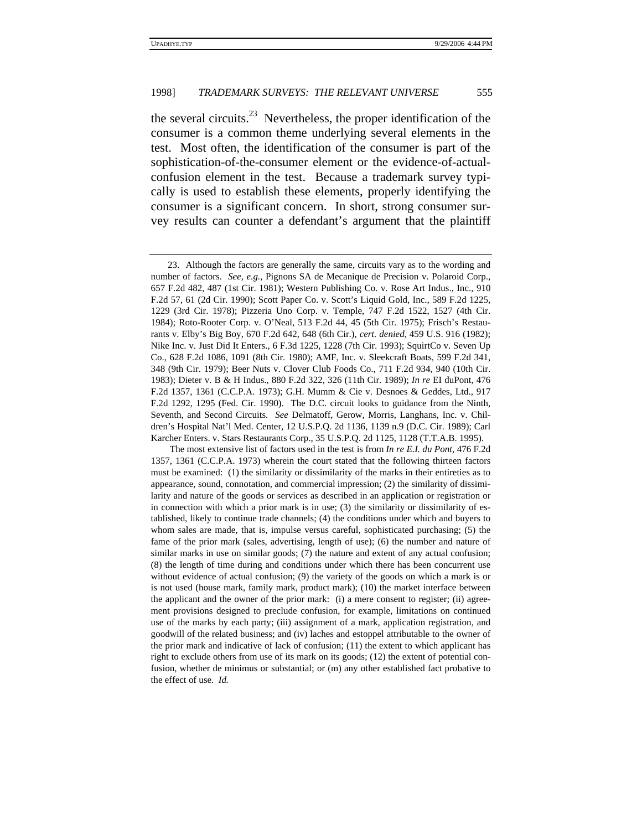the several circuits.<sup>23</sup> Nevertheless, the proper identification of the consumer is a common theme underlying several elements in the test. Most often, the identification of the consumer is part of the sophistication-of-the-consumer element or the evidence-of-actualconfusion element in the test. Because a trademark survey typically is used to establish these elements, properly identifying the consumer is a significant concern. In short, strong consumer survey results can counter a defendant's argument that the plaintiff

<sup>23.</sup> Although the factors are generally the same, circuits vary as to the wording and number of factors. *See, e.g.*, Pignons SA de Mecanique de Precision v. Polaroid Corp., 657 F.2d 482, 487 (1st Cir. 1981); Western Publishing Co. v. Rose Art Indus., Inc., 910 F.2d 57, 61 (2d Cir. 1990); Scott Paper Co. v. Scott's Liquid Gold, Inc., 589 F.2d 1225, 1229 (3rd Cir. 1978); Pizzeria Uno Corp. v. Temple, 747 F.2d 1522, 1527 (4th Cir. 1984); Roto-Rooter Corp. v. O'Neal, 513 F.2d 44, 45 (5th Cir. 1975); Frisch's Restaurants v. Elby's Big Boy, 670 F.2d 642, 648 (6th Cir.), *cert. denied*, 459 U.S. 916 (1982); Nike Inc. v. Just Did It Enters., 6 F.3d 1225, 1228 (7th Cir. 1993); SquirtCo v. Seven Up Co., 628 F.2d 1086, 1091 (8th Cir. 1980); AMF, Inc. v. Sleekcraft Boats, 599 F.2d 341, 348 (9th Cir. 1979); Beer Nuts v. Clover Club Foods Co., 711 F.2d 934, 940 (10th Cir. 1983); Dieter v. B & H Indus., 880 F.2d 322, 326 (11th Cir. 1989); *In re* EI duPont, 476 F.2d 1357, 1361 (C.C.P.A. 1973); G.H. Mumm & Cie v. Desnoes & Geddes, Ltd., 917 F.2d 1292, 1295 (Fed. Cir. 1990). The D.C. circuit looks to guidance from the Ninth, Seventh, and Second Circuits. *See* Delmatoff, Gerow, Morris, Langhans, Inc. v. Children's Hospital Nat'l Med. Center, 12 U.S.P.Q. 2d 1136, 1139 n.9 (D.C. Cir. 1989); Carl Karcher Enters. v. Stars Restaurants Corp., 35 U.S.P.Q. 2d 1125, 1128 (T.T.A.B. 1995).

The most extensive list of factors used in the test is from *In re E.I. du Pont*, 476 F.2d 1357, 1361 (C.C.P.A. 1973) wherein the court stated that the following thirteen factors must be examined: (1) the similarity or dissimilarity of the marks in their entireties as to appearance, sound, connotation, and commercial impression; (2) the similarity of dissimilarity and nature of the goods or services as described in an application or registration or in connection with which a prior mark is in use; (3) the similarity or dissimilarity of established, likely to continue trade channels; (4) the conditions under which and buyers to whom sales are made, that is, impulse versus careful, sophisticated purchasing; (5) the fame of the prior mark (sales, advertising, length of use); (6) the number and nature of similar marks in use on similar goods; (7) the nature and extent of any actual confusion; (8) the length of time during and conditions under which there has been concurrent use without evidence of actual confusion; (9) the variety of the goods on which a mark is or is not used (house mark, family mark, product mark); (10) the market interface between the applicant and the owner of the prior mark: (i) a mere consent to register; (ii) agreement provisions designed to preclude confusion, for example, limitations on continued use of the marks by each party; (iii) assignment of a mark, application registration, and goodwill of the related business; and (iv) laches and estoppel attributable to the owner of the prior mark and indicative of lack of confusion; (11) the extent to which applicant has right to exclude others from use of its mark on its goods; (12) the extent of potential confusion, whether de minimus or substantial; or (m) any other established fact probative to the effect of use. *Id.*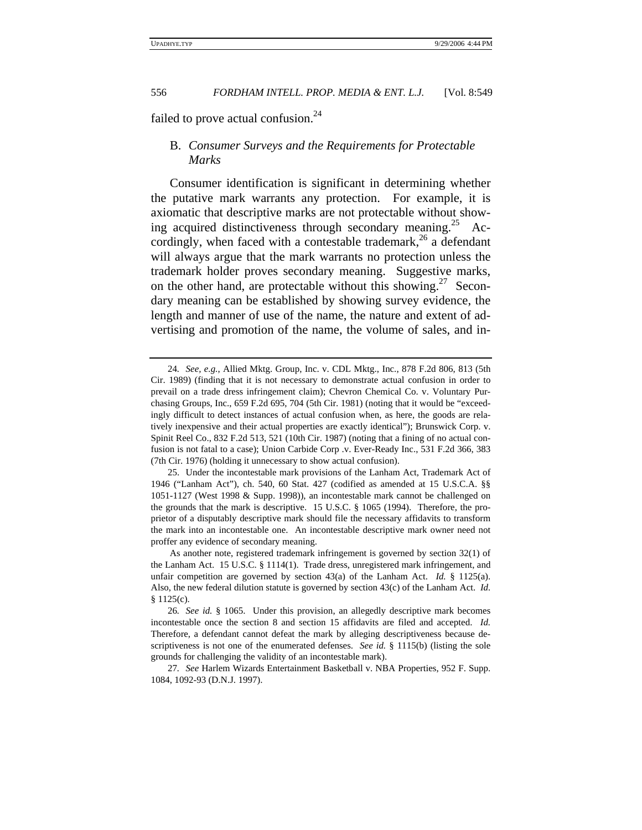failed to prove actual confusion.<sup>24</sup>

# B. *Consumer Surveys and the Requirements for Protectable Marks*

Consumer identification is significant in determining whether the putative mark warrants any protection. For example, it is axiomatic that descriptive marks are not protectable without showing acquired distinctiveness through secondary meaning.<sup>25</sup> Accordingly, when faced with a contestable trademark,<sup>26</sup> a defendant will always argue that the mark warrants no protection unless the trademark holder proves secondary meaning. Suggestive marks, on the other hand, are protectable without this showing.<sup>27</sup> Secondary meaning can be established by showing survey evidence, the length and manner of use of the name, the nature and extent of advertising and promotion of the name, the volume of sales, and in-

<sup>24</sup>*. See, e.g.*, Allied Mktg. Group, Inc. v. CDL Mktg., Inc., 878 F.2d 806, 813 (5th Cir. 1989) (finding that it is not necessary to demonstrate actual confusion in order to prevail on a trade dress infringement claim); Chevron Chemical Co. v. Voluntary Purchasing Groups, Inc., 659 F.2d 695, 704 (5th Cir. 1981) (noting that it would be "exceedingly difficult to detect instances of actual confusion when, as here, the goods are relatively inexpensive and their actual properties are exactly identical"); Brunswick Corp. v. Spinit Reel Co., 832 F.2d 513, 521 (10th Cir. 1987) (noting that a fining of no actual confusion is not fatal to a case); Union Carbide Corp .v. Ever-Ready Inc., 531 F.2d 366, 383 (7th Cir. 1976) (holding it unnecessary to show actual confusion).

<sup>25.</sup> Under the incontestable mark provisions of the Lanham Act, Trademark Act of 1946 ("Lanham Act"), ch. 540, 60 Stat. 427 (codified as amended at 15 U.S.C.A. §§ 1051-1127 (West 1998 & Supp. 1998)), an incontestable mark cannot be challenged on the grounds that the mark is descriptive. 15 U.S.C. § 1065 (1994). Therefore, the proprietor of a disputably descriptive mark should file the necessary affidavits to transform the mark into an incontestable one. An incontestable descriptive mark owner need not proffer any evidence of secondary meaning.

As another note, registered trademark infringement is governed by section 32(1) of the Lanham Act. 15 U.S.C. § 1114(1). Trade dress, unregistered mark infringement, and unfair competition are governed by section 43(a) of the Lanham Act. *Id.* § 1125(a). Also, the new federal dilution statute is governed by section 43(c) of the Lanham Act. *Id.* § 1125(c).

<sup>26</sup>*. See id.* § 1065. Under this provision, an allegedly descriptive mark becomes incontestable once the section 8 and section 15 affidavits are filed and accepted. *Id.* Therefore, a defendant cannot defeat the mark by alleging descriptiveness because descriptiveness is not one of the enumerated defenses. *See id.* § 1115(b) (listing the sole grounds for challenging the validity of an incontestable mark).

<sup>27</sup>*. See* Harlem Wizards Entertainment Basketball v. NBA Properties, 952 F. Supp. 1084, 1092-93 (D.N.J. 1997).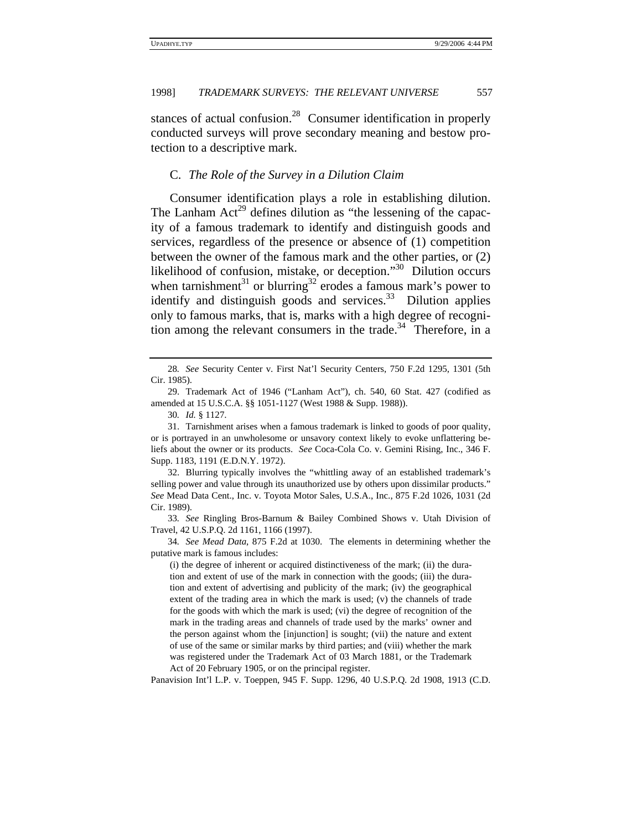stances of actual confusion.<sup>28</sup> Consumer identification in properly conducted surveys will prove secondary meaning and bestow protection to a descriptive mark.

#### C. *The Role of the Survey in a Dilution Claim*

Consumer identification plays a role in establishing dilution. The Lanham  $Act^{29}$  defines dilution as "the lessening of the capacity of a famous trademark to identify and distinguish goods and services, regardless of the presence or absence of (1) competition between the owner of the famous mark and the other parties, or (2) likelihood of confusion, mistake, or deception."<sup>30</sup> Dilution occurs when tarnishment<sup>31</sup> or blurring<sup>32</sup> erodes a famous mark's power to identify and distinguish goods and services. $33$  Dilution applies only to famous marks, that is, marks with a high degree of recognition among the relevant consumers in the trade.<sup>34</sup> Therefore, in a

31. Tarnishment arises when a famous trademark is linked to goods of poor quality, or is portrayed in an unwholesome or unsavory context likely to evoke unflattering beliefs about the owner or its products. *See* Coca-Cola Co. v. Gemini Rising, Inc., 346 F. Supp. 1183, 1191 (E.D.N.Y. 1972).

32. Blurring typically involves the "whittling away of an established trademark's selling power and value through its unauthorized use by others upon dissimilar products." *See* Mead Data Cent., Inc. v. Toyota Motor Sales, U.S.A., Inc., 875 F.2d 1026, 1031 (2d Cir. 1989).

33*. See* Ringling Bros-Barnum & Bailey Combined Shows v. Utah Division of Travel, 42 U.S.P.Q. 2d 1161, 1166 (1997).

34*. See Mead Data*, 875 F.2d at 1030. The elements in determining whether the putative mark is famous includes:

(i) the degree of inherent or acquired distinctiveness of the mark; (ii) the duration and extent of use of the mark in connection with the goods; (iii) the duration and extent of advertising and publicity of the mark; (iv) the geographical extent of the trading area in which the mark is used; (v) the channels of trade for the goods with which the mark is used; (vi) the degree of recognition of the mark in the trading areas and channels of trade used by the marks' owner and the person against whom the [injunction] is sought; (vii) the nature and extent of use of the same or similar marks by third parties; and (viii) whether the mark was registered under the Trademark Act of 03 March 1881, or the Trademark Act of 20 February 1905, or on the principal register.

Panavision Int'l L.P. v. Toeppen, 945 F. Supp. 1296, 40 U.S.P.Q. 2d 1908, 1913 (C.D.

<sup>28</sup>*. See* Security Center v. First Nat'l Security Centers, 750 F.2d 1295, 1301 (5th Cir. 1985).

<sup>29.</sup> Trademark Act of 1946 ("Lanham Act"), ch. 540, 60 Stat. 427 (codified as amended at 15 U.S.C.A. §§ 1051-1127 (West 1988 & Supp. 1988)).

<sup>30</sup>*. Id.* § 1127.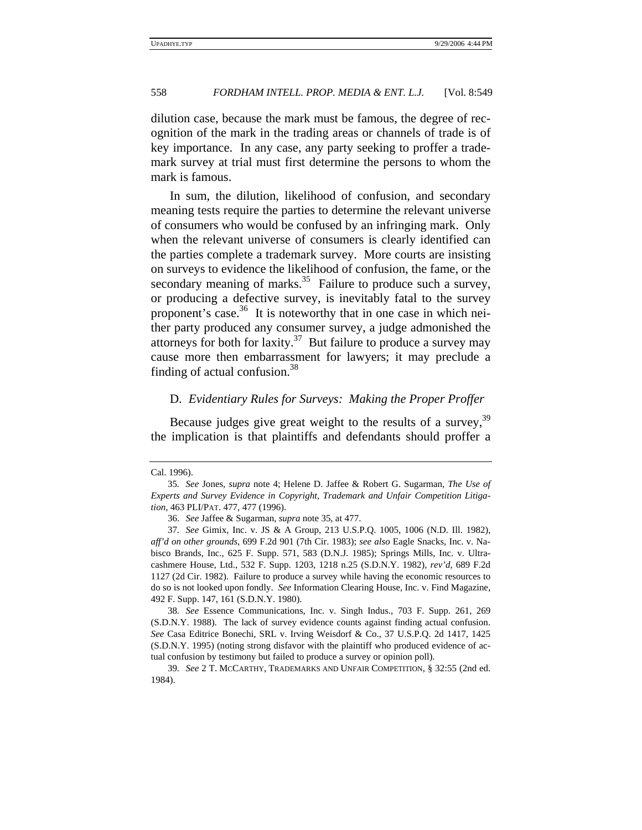dilution case, because the mark must be famous, the degree of recognition of the mark in the trading areas or channels of trade is of key importance. In any case, any party seeking to proffer a trademark survey at trial must first determine the persons to whom the mark is famous.

In sum, the dilution, likelihood of confusion, and secondary meaning tests require the parties to determine the relevant universe of consumers who would be confused by an infringing mark. Only when the relevant universe of consumers is clearly identified can the parties complete a trademark survey. More courts are insisting on surveys to evidence the likelihood of confusion, the fame, or the secondary meaning of marks.<sup>35</sup> Failure to produce such a survey, or producing a defective survey, is inevitably fatal to the survey proponent's case.<sup>36</sup> It is noteworthy that in one case in which neither party produced any consumer survey, a judge admonished the attorneys for both for laxity. $37$  But failure to produce a survey may cause more then embarrassment for lawyers; it may preclude a finding of actual confusion.<sup>38</sup>

## D. *Evidentiary Rules for Surveys: Making the Proper Proffer*

Because judges give great weight to the results of a survey, <sup>39</sup> the implication is that plaintiffs and defendants should proffer a

Cal. 1996).

<sup>35</sup>*. See* Jones, *supra* note 4; Helene D. Jaffee & Robert G. Sugarman, *The Use of Experts and Survey Evidence in Copyright, Trademark and Unfair Competition Litigation*, 463 PLI/PAT. 477, 477 (1996).

<sup>36.</sup> *See* Jaffee & Sugarman, *supra* note 35, at 477.

<sup>37</sup>*. See* Gimix, Inc. v. JS & A Group, 213 U.S.P.Q. 1005, 1006 (N.D. Ill. 1982), *aff'd on other grounds*, 699 F.2d 901 (7th Cir. 1983); *see also* Eagle Snacks, Inc. v. Nabisco Brands, Inc., 625 F. Supp. 571, 583 (D.N.J. 1985); Springs Mills, Inc. v. Ultracashmere House, Ltd., 532 F. Supp. 1203, 1218 n.25 (S.D.N.Y. 1982), *rev'd*, 689 F.2d 1127 (2d Cir. 1982). Failure to produce a survey while having the economic resources to do so is not looked upon fondly. *See* Information Clearing House, Inc. v. Find Magazine, 492 F. Supp. 147, 161 (S.D.N.Y. 1980).

<sup>38</sup>*. See* Essence Communications, Inc. v. Singh Indus., 703 F. Supp. 261, 269 (S.D.N.Y. 1988). The lack of survey evidence counts against finding actual confusion. *See* Casa Editrice Bonechi, SRL v. Irving Weisdorf & Co., 37 U.S.P.Q. 2d 1417, 1425 (S.D.N.Y. 1995) (noting strong disfavor with the plaintiff who produced evidence of actual confusion by testimony but failed to produce a survey or opinion poll).

<sup>39</sup>*. See* 2 T. MCCARTHY, TRADEMARKS AND UNFAIR COMPETITION, § 32:55 (2nd ed. 1984).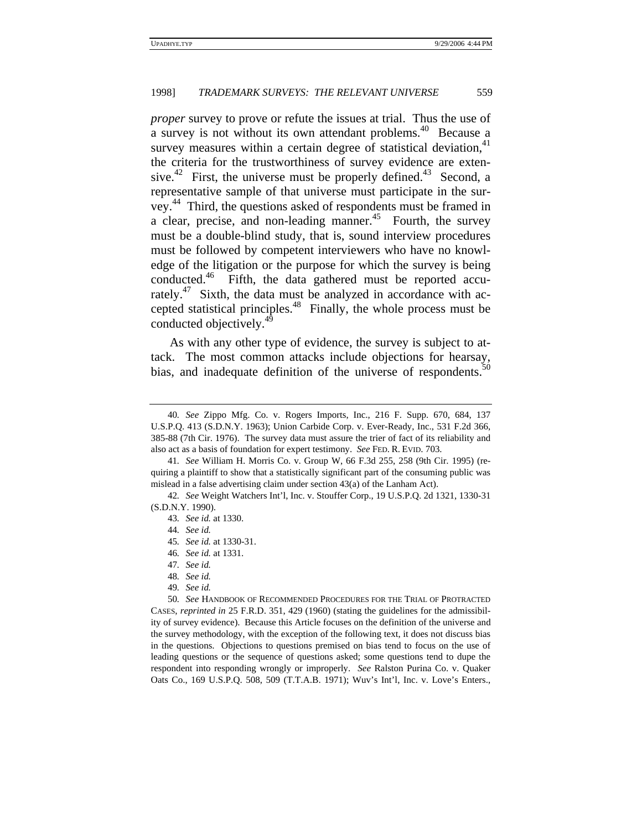*proper* survey to prove or refute the issues at trial. Thus the use of a survey is not without its own attendant problems.<sup>40</sup> Because a survey measures within a certain degree of statistical deviation, $41$ the criteria for the trustworthiness of survey evidence are extensive.<sup>42</sup> First, the universe must be properly defined.<sup>43</sup> Second, a representative sample of that universe must participate in the survey. 44 Third, the questions asked of respondents must be framed in a clear, precise, and non-leading manner.<sup>45</sup> Fourth, the survey must be a double-blind study, that is, sound interview procedures must be followed by competent interviewers who have no knowledge of the litigation or the purpose for which the survey is being conducted.46 Fifth, the data gathered must be reported accurately.<sup>47</sup> Sixth, the data must be analyzed in accordance with accepted statistical principles.48 Finally, the whole process must be conducted objectively.<sup>49</sup>

As with any other type of evidence, the survey is subject to attack. The most common attacks include objections for hearsay, bias, and inadequate definition of the universe of respondents.<sup>5</sup>

<sup>40</sup>*. See* Zippo Mfg. Co. v. Rogers Imports, Inc., 216 F. Supp. 670, 684, 137 U.S.P.Q. 413 (S.D.N.Y. 1963); Union Carbide Corp. v. Ever-Ready, Inc., 531 F.2d 366, 385-88 (7th Cir. 1976). The survey data must assure the trier of fact of its reliability and also act as a basis of foundation for expert testimony. *See* FED. R. EVID. 703.

<sup>41</sup>*. See* William H. Morris Co. v. Group W, 66 F.3d 255, 258 (9th Cir. 1995) (requiring a plaintiff to show that a statistically significant part of the consuming public was mislead in a false advertising claim under section 43(a) of the Lanham Act).

<sup>42</sup>*. See* Weight Watchers Int'l, Inc. v. Stouffer Corp., 19 U.S.P.Q. 2d 1321, 1330-31 (S.D.N.Y. 1990).

<sup>43</sup>*. See id.* at 1330.

<sup>44</sup>*. See id.*

<sup>45</sup>*. See id.* at 1330-31.

<sup>46</sup>*. See id.* at 1331.

<sup>47</sup>*. See id.*

<sup>48</sup>*. See id.*

<sup>49</sup>*. See id.*

<sup>50</sup>*. See* HANDBOOK OF RECOMMENDED PROCEDURES FOR THE TRIAL OF PROTRACTED CASES, *reprinted in* 25 F.R.D. 351, 429 (1960) (stating the guidelines for the admissibility of survey evidence). Because this Article focuses on the definition of the universe and the survey methodology, with the exception of the following text, it does not discuss bias in the questions. Objections to questions premised on bias tend to focus on the use of leading questions or the sequence of questions asked; some questions tend to dupe the respondent into responding wrongly or improperly. *See* Ralston Purina Co. v. Quaker Oats Co., 169 U.S.P.Q. 508, 509 (T.T.A.B. 1971); Wuv's Int'l, Inc. v. Love's Enters.,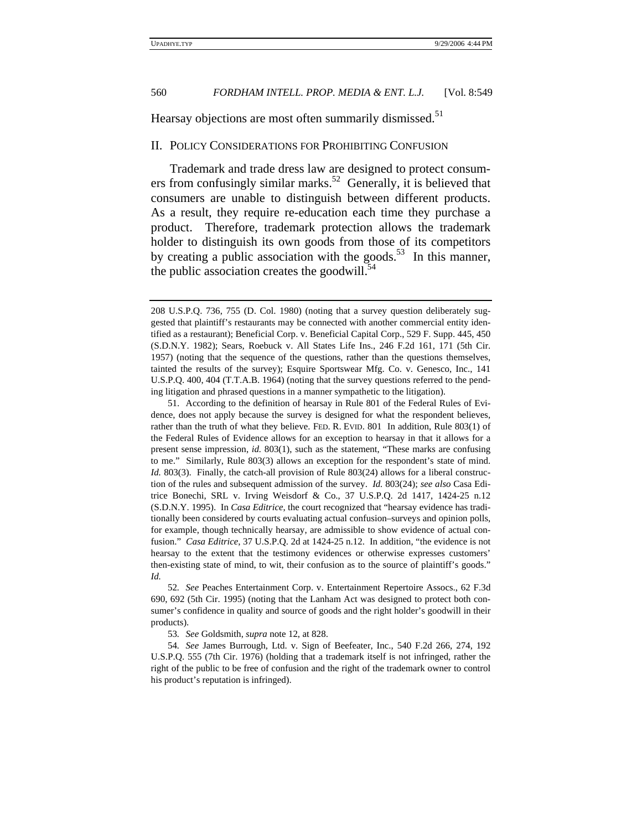Hearsay objections are most often summarily dismissed.<sup>51</sup>

#### II. POLICY CONSIDERATIONS FOR PROHIBITING CONFUSION

Trademark and trade dress law are designed to protect consumers from confusingly similar marks.<sup>52</sup> Generally, it is believed that consumers are unable to distinguish between different products. As a result, they require re-education each time they purchase a product. Therefore, trademark protection allows the trademark holder to distinguish its own goods from those of its competitors by creating a public association with the goods.<sup>53</sup> In this manner, the public association creates the goodwill. $54$ 

52*. See* Peaches Entertainment Corp. v. Entertainment Repertoire Assocs., 62 F.3d 690, 692 (5th Cir. 1995) (noting that the Lanham Act was designed to protect both consumer's confidence in quality and source of goods and the right holder's goodwill in their products).

53*. See* Goldsmith, *supra* note 12, at 828.

54*. See* James Burrough, Ltd. v. Sign of Beefeater, Inc., 540 F.2d 266, 274, 192 U.S.P.Q. 555 (7th Cir. 1976) (holding that a trademark itself is not infringed, rather the right of the public to be free of confusion and the right of the trademark owner to control his product's reputation is infringed).

<sup>208</sup> U.S.P.Q. 736, 755 (D. Col. 1980) (noting that a survey question deliberately suggested that plaintiff's restaurants may be connected with another commercial entity identified as a restaurant); Beneficial Corp. v. Beneficial Capital Corp., 529 F. Supp. 445, 450 (S.D.N.Y. 1982); Sears, Roebuck v. All States Life Ins., 246 F.2d 161, 171 (5th Cir. 1957) (noting that the sequence of the questions, rather than the questions themselves, tainted the results of the survey); Esquire Sportswear Mfg. Co. v. Genesco, Inc., 141 U.S.P.Q. 400, 404 (T.T.A.B. 1964) (noting that the survey questions referred to the pending litigation and phrased questions in a manner sympathetic to the litigation).

<sup>51.</sup> According to the definition of hearsay in Rule 801 of the Federal Rules of Evidence, does not apply because the survey is designed for what the respondent believes, rather than the truth of what they believe. FED. R. EVID. 801 In addition, Rule 803(1) of the Federal Rules of Evidence allows for an exception to hearsay in that it allows for a present sense impression, *id.* 803(1), such as the statement, "These marks are confusing to me." Similarly, Rule 803(3) allows an exception for the respondent's state of mind. *Id.* 803(3). Finally, the catch-all provision of Rule 803(24) allows for a liberal construction of the rules and subsequent admission of the survey. *Id.* 803(24); *see also* Casa Editrice Bonechi, SRL v. Irving Weisdorf & Co., 37 U.S.P.Q. 2d 1417, 1424-25 n.12 (S.D.N.Y. 1995). In *Casa Editrice*, the court recognized that "hearsay evidence has traditionally been considered by courts evaluating actual confusion–surveys and opinion polls, for example, though technically hearsay, are admissible to show evidence of actual confusion." *Casa Editrice*, 37 U.S.P.Q. 2d at 1424-25 n.12. In addition, "the evidence is not hearsay to the extent that the testimony evidences or otherwise expresses customers' then-existing state of mind, to wit, their confusion as to the source of plaintiff's goods." *Id.*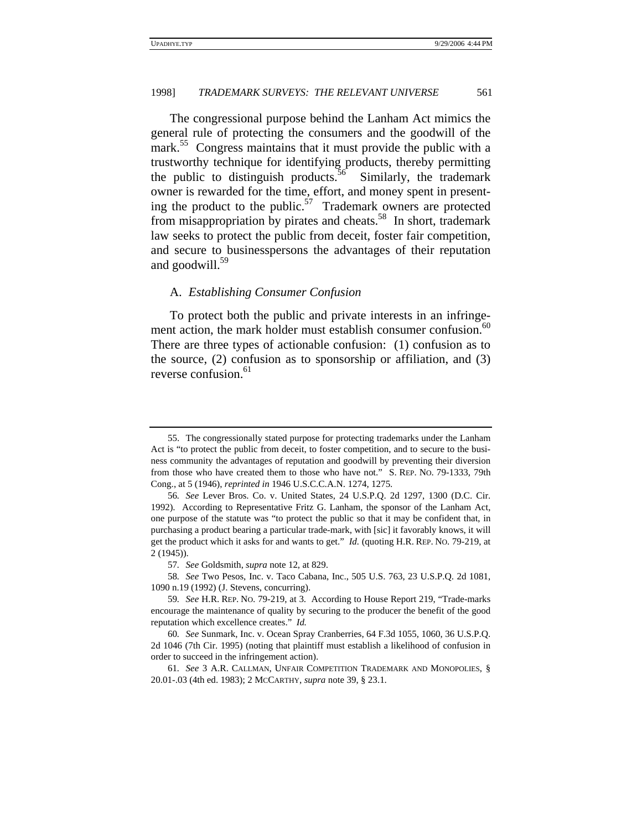The congressional purpose behind the Lanham Act mimics the general rule of protecting the consumers and the goodwill of the mark.<sup>55</sup> Congress maintains that it must provide the public with a trustworthy technique for identifying products, thereby permitting the public to distinguish products.<sup>56</sup> Similarly, the trademark owner is rewarded for the time, effort, and money spent in presenting the product to the public.<sup>57</sup> Trademark owners are protected from misappropriation by pirates and cheats.<sup>58</sup> In short, trademark law seeks to protect the public from deceit, foster fair competition, and secure to businesspersons the advantages of their reputation and goodwill. $59$ 

#### A. *Establishing Consumer Confusion*

To protect both the public and private interests in an infringement action, the mark holder must establish consumer confusion.<sup>60</sup> There are three types of actionable confusion: (1) confusion as to the source, (2) confusion as to sponsorship or affiliation, and (3) reverse confusion.<sup>61</sup>

<sup>55.</sup> The congressionally stated purpose for protecting trademarks under the Lanham Act is "to protect the public from deceit, to foster competition, and to secure to the business community the advantages of reputation and goodwill by preventing their diversion from those who have created them to those who have not." S. REP. NO. 79-1333, 79th Cong., at 5 (1946), *reprinted in* 1946 U.S.C.C.A.N. 1274, 1275.

<sup>56</sup>*. See* Lever Bros. Co. v. United States, 24 U.S.P.Q. 2d 1297, 1300 (D.C. Cir. 1992). According to Representative Fritz G. Lanham, the sponsor of the Lanham Act, one purpose of the statute was "to protect the public so that it may be confident that, in purchasing a product bearing a particular trade-mark, with [sic] it favorably knows, it will get the product which it asks for and wants to get." *Id.* (quoting H.R. REP. NO. 79-219, at 2 (1945)).

<sup>57</sup>*. See* Goldsmith, *supra* note 12, at 829.

<sup>58</sup>*. See* Two Pesos, Inc. v. Taco Cabana, Inc., 505 U.S. 763, 23 U.S.P.Q. 2d 1081, 1090 n.19 (1992) (J. Stevens, concurring).

<sup>59</sup>*. See* H.R. REP. NO. 79-219, at 3. According to House Report 219, "Trade-marks encourage the maintenance of quality by securing to the producer the benefit of the good reputation which excellence creates." *Id.*

<sup>60</sup>*. See* Sunmark, Inc. v. Ocean Spray Cranberries, 64 F.3d 1055, 1060, 36 U.S.P.Q. 2d 1046 (7th Cir. 1995) (noting that plaintiff must establish a likelihood of confusion in order to succeed in the infringement action).

<sup>61</sup>*. See* 3 A.R. CALLMAN, UNFAIR COMPETITION TRADEMARK AND MONOPOLIES, § 20.01-.03 (4th ed. 1983); 2 MCCARTHY, *supra* note 39, § 23.1.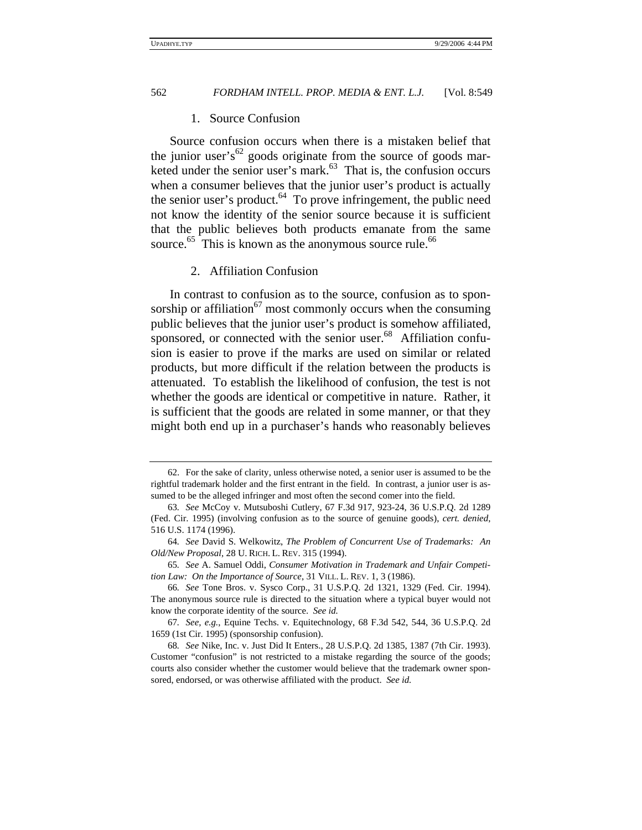#### 1. Source Confusion

Source confusion occurs when there is a mistaken belief that the junior user's<sup>62</sup> goods originate from the source of goods marketed under the senior user's mark. $63$  That is, the confusion occurs when a consumer believes that the junior user's product is actually the senior user's product. $64$  To prove infringement, the public need not know the identity of the senior source because it is sufficient that the public believes both products emanate from the same source. $^{65}$  This is known as the anonymous source rule. $^{66}$ 

# 2. Affiliation Confusion

In contrast to confusion as to the source, confusion as to sponsorship or affiliation $^{67}$  most commonly occurs when the consuming public believes that the junior user's product is somehow affiliated, sponsored, or connected with the senior user.<sup>68</sup> Affiliation confusion is easier to prove if the marks are used on similar or related products, but more difficult if the relation between the products is attenuated. To establish the likelihood of confusion, the test is not whether the goods are identical or competitive in nature. Rather, it is sufficient that the goods are related in some manner, or that they might both end up in a purchaser's hands who reasonably believes

<sup>62.</sup> For the sake of clarity, unless otherwise noted, a senior user is assumed to be the rightful trademark holder and the first entrant in the field. In contrast, a junior user is assumed to be the alleged infringer and most often the second comer into the field.

<sup>63</sup>*. See* McCoy v. Mutsuboshi Cutlery, 67 F.3d 917, 923-24, 36 U.S.P.Q. 2d 1289 (Fed. Cir. 1995) (involving confusion as to the source of genuine goods), *cert. denied*, 516 U.S. 1174 (1996).

<sup>64</sup>*. See* David S. Welkowitz, *The Problem of Concurrent Use of Trademarks: An Old/New Proposal*, 28 U. RICH. L. REV. 315 (1994).

<sup>65</sup>*. See* A. Samuel Oddi, *Consumer Motivation in Trademark and Unfair Competition Law: On the Importance of Source*, 31 VILL. L. REV. 1, 3 (1986).

<sup>66</sup>*. See* Tone Bros. v. Sysco Corp., 31 U.S.P.Q. 2d 1321, 1329 (Fed. Cir. 1994). The anonymous source rule is directed to the situation where a typical buyer would not know the corporate identity of the source. *See id.*

<sup>67</sup>*. See, e.g.*, Equine Techs. v. Equitechnology, 68 F.3d 542, 544, 36 U.S.P.Q. 2d 1659 (1st Cir. 1995) (sponsorship confusion).

<sup>68</sup>*. See* Nike, Inc. v. Just Did It Enters., 28 U.S.P.Q. 2d 1385, 1387 (7th Cir. 1993). Customer "confusion" is not restricted to a mistake regarding the source of the goods; courts also consider whether the customer would believe that the trademark owner sponsored, endorsed, or was otherwise affiliated with the product. *See id.*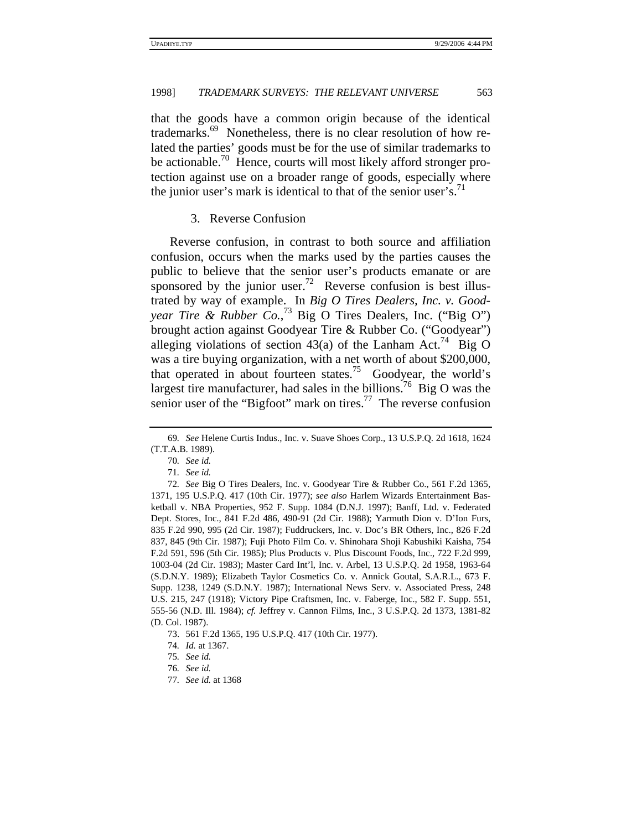that the goods have a common origin because of the identical trademarks.<sup>69</sup> Nonetheless, there is no clear resolution of how related the parties' goods must be for the use of similar trademarks to be actionable.<sup>70</sup> Hence, courts will most likely afford stronger protection against use on a broader range of goods, especially where the junior user's mark is identical to that of the senior user's.<sup>71</sup>

## 3. Reverse Confusion

Reverse confusion, in contrast to both source and affiliation confusion, occurs when the marks used by the parties causes the public to believe that the senior user's products emanate or are sponsored by the junior user.<sup>72</sup> Reverse confusion is best illustrated by way of example. In *Big O Tires Dealers, Inc. v. Goodyear Tire & Rubber Co.*, 73 Big O Tires Dealers, Inc. ("Big O") brought action against Goodyear Tire & Rubber Co. ("Goodyear") alleging violations of section 43(a) of the Lanham Act.<sup>74</sup> Big O was a tire buying organization, with a net worth of about \$200,000, that operated in about fourteen states.<sup>75</sup> Goodyear, the world's largest tire manufacturer, had sales in the billions.<sup>76</sup> Big O was the senior user of the "Bigfoot" mark on tires.<sup>77</sup> The reverse confusion

<sup>69</sup>*. See* Helene Curtis Indus., Inc. v. Suave Shoes Corp., 13 U.S.P.Q. 2d 1618, 1624 (T.T.A.B. 1989).

<sup>70</sup>*. See id.*

<sup>71</sup>*. See id.*

<sup>72</sup>*. See* Big O Tires Dealers, Inc. v. Goodyear Tire & Rubber Co., 561 F.2d 1365, 1371, 195 U.S.P.Q. 417 (10th Cir. 1977); *see also* Harlem Wizards Entertainment Basketball v. NBA Properties, 952 F. Supp. 1084 (D.N.J. 1997); Banff, Ltd. v. Federated Dept. Stores, Inc., 841 F.2d 486, 490-91 (2d Cir. 1988); Yarmuth Dion v. D'Ion Furs, 835 F.2d 990, 995 (2d Cir. 1987); Fuddruckers, Inc. v. Doc's BR Others, Inc., 826 F.2d 837, 845 (9th Cir. 1987); Fuji Photo Film Co. v. Shinohara Shoji Kabushiki Kaisha, 754 F.2d 591, 596 (5th Cir. 1985); Plus Products v. Plus Discount Foods, Inc., 722 F.2d 999, 1003-04 (2d Cir. 1983); Master Card Int'l, Inc. v. Arbel, 13 U.S.P.Q. 2d 1958, 1963-64 (S.D.N.Y. 1989); Elizabeth Taylor Cosmetics Co. v. Annick Goutal, S.A.R.L., 673 F. Supp. 1238, 1249 (S.D.N.Y. 1987); International News Serv. v. Associated Press, 248 U.S. 215, 247 (1918); Victory Pipe Craftsmen, Inc. v. Faberge, Inc., 582 F. Supp. 551, 555-56 (N.D. Ill. 1984); *cf.* Jeffrey v. Cannon Films, Inc., 3 U.S.P.Q. 2d 1373, 1381-82 (D. Col. 1987).

<sup>73. 561</sup> F.2d 1365, 195 U.S.P.Q. 417 (10th Cir. 1977).

<sup>74</sup>*. Id.* at 1367.

<sup>75</sup>*. See id.*

<sup>76</sup>*. See id.*

<sup>77</sup>*. See id.* at 1368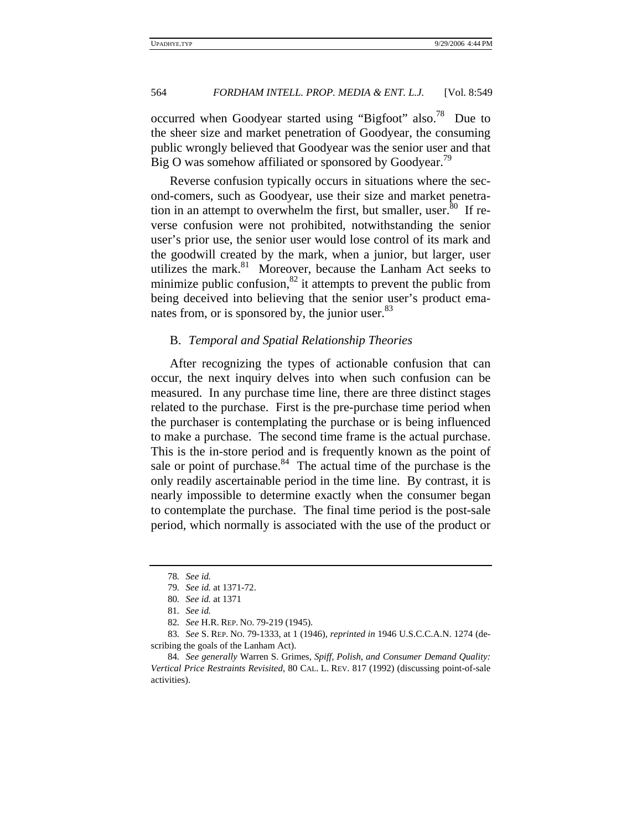occurred when Goodyear started using "Bigfoot" also.<sup>78</sup> Due to the sheer size and market penetration of Goodyear, the consuming public wrongly believed that Goodyear was the senior user and that Big O was somehow affiliated or sponsored by Goodyear.<sup>19</sup>

Reverse confusion typically occurs in situations where the second-comers, such as Goodyear, use their size and market penetration in an attempt to overwhelm the first, but smaller, user.  $80$  If reverse confusion were not prohibited, notwithstanding the senior user's prior use, the senior user would lose control of its mark and the goodwill created by the mark, when a junior, but larger, user utilizes the mark.<sup>81</sup> Moreover, because the Lanham Act seeks to minimize public confusion, $82$  it attempts to prevent the public from being deceived into believing that the senior user's product emanates from, or is sponsored by, the junior user.<sup>83</sup>

#### B. *Temporal and Spatial Relationship Theories*

After recognizing the types of actionable confusion that can occur, the next inquiry delves into when such confusion can be measured. In any purchase time line, there are three distinct stages related to the purchase. First is the pre-purchase time period when the purchaser is contemplating the purchase or is being influenced to make a purchase. The second time frame is the actual purchase. This is the in-store period and is frequently known as the point of sale or point of purchase.<sup>84</sup> The actual time of the purchase is the only readily ascertainable period in the time line. By contrast, it is nearly impossible to determine exactly when the consumer began to contemplate the purchase. The final time period is the post-sale period, which normally is associated with the use of the product or

<sup>78</sup>*. See id.*

<sup>79</sup>*. See id.* at 1371-72.

<sup>80</sup>*. See id.* at 1371

<sup>81</sup>*. See id.*

<sup>82</sup>*. See* H.R. REP. NO. 79-219 (1945).

<sup>83</sup>*. See* S. REP. NO. 79-1333, at 1 (1946), *reprinted in* 1946 U.S.C.C.A.N. 1274 (describing the goals of the Lanham Act).

<sup>84</sup>*. See generally* Warren S. Grimes, *Spiff, Polish, and Consumer Demand Quality: Vertical Price Restraints Revisited*, 80 CAL. L. REV. 817 (1992) (discussing point-of-sale activities).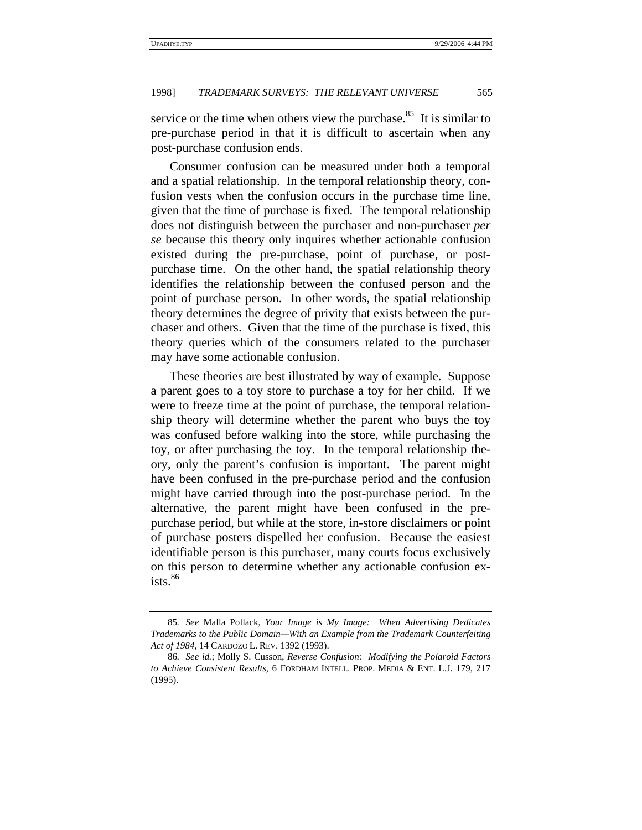service or the time when others view the purchase.<sup>85</sup> It is similar to pre-purchase period in that it is difficult to ascertain when any post-purchase confusion ends.

Consumer confusion can be measured under both a temporal and a spatial relationship. In the temporal relationship theory, confusion vests when the confusion occurs in the purchase time line, given that the time of purchase is fixed. The temporal relationship does not distinguish between the purchaser and non-purchaser *per se* because this theory only inquires whether actionable confusion existed during the pre-purchase, point of purchase, or postpurchase time. On the other hand, the spatial relationship theory identifies the relationship between the confused person and the point of purchase person. In other words, the spatial relationship theory determines the degree of privity that exists between the purchaser and others. Given that the time of the purchase is fixed, this theory queries which of the consumers related to the purchaser may have some actionable confusion.

These theories are best illustrated by way of example. Suppose a parent goes to a toy store to purchase a toy for her child. If we were to freeze time at the point of purchase, the temporal relationship theory will determine whether the parent who buys the toy was confused before walking into the store, while purchasing the toy, or after purchasing the toy. In the temporal relationship theory, only the parent's confusion is important. The parent might have been confused in the pre-purchase period and the confusion might have carried through into the post-purchase period. In the alternative, the parent might have been confused in the prepurchase period, but while at the store, in-store disclaimers or point of purchase posters dispelled her confusion. Because the easiest identifiable person is this purchaser, many courts focus exclusively on this person to determine whether any actionable confusion ex $i$ sts.  $86$ 

<sup>85</sup>*. See* Malla Pollack, *Your Image is My Image: When Advertising Dedicates Trademarks to the Public Domain—With an Example from the Trademark Counterfeiting Act of 1984*, 14 CARDOZO L. REV. 1392 (1993).

<sup>86</sup>*. See id.*; Molly S. Cusson, *Reverse Confusion: Modifying the Polaroid Factors to Achieve Consistent Results*, 6 FORDHAM INTELL. PROP. MEDIA & ENT. L.J. 179, 217 (1995).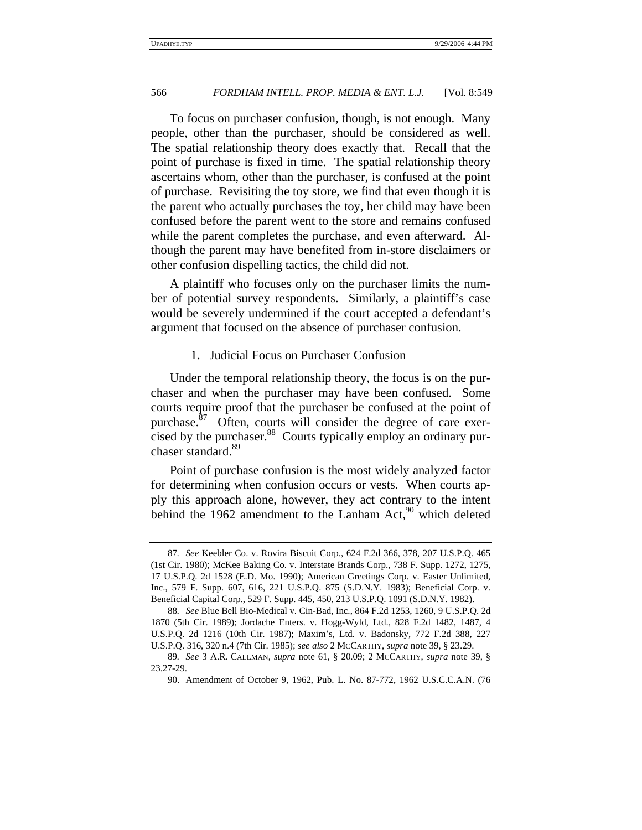To focus on purchaser confusion, though, is not enough. Many people, other than the purchaser, should be considered as well. The spatial relationship theory does exactly that. Recall that the point of purchase is fixed in time. The spatial relationship theory ascertains whom, other than the purchaser, is confused at the point of purchase. Revisiting the toy store, we find that even though it is the parent who actually purchases the toy, her child may have been confused before the parent went to the store and remains confused while the parent completes the purchase, and even afterward. Although the parent may have benefited from in-store disclaimers or other confusion dispelling tactics, the child did not.

A plaintiff who focuses only on the purchaser limits the number of potential survey respondents. Similarly, a plaintiff's case would be severely undermined if the court accepted a defendant's argument that focused on the absence of purchaser confusion.

#### 1. Judicial Focus on Purchaser Confusion

Under the temporal relationship theory, the focus is on the purchaser and when the purchaser may have been confused. Some courts require proof that the purchaser be confused at the point of purchase. $87$  Often, courts will consider the degree of care exercised by the purchaser.<sup>88</sup> Courts typically employ an ordinary purchaser standard.<sup>89</sup>

Point of purchase confusion is the most widely analyzed factor for determining when confusion occurs or vests. When courts apply this approach alone, however, they act contrary to the intent behind the 1962 amendment to the Lanham Act, $90$  which deleted

<sup>87</sup>*. See* Keebler Co. v. Rovira Biscuit Corp., 624 F.2d 366, 378, 207 U.S.P.Q. 465 (1st Cir. 1980); McKee Baking Co. v. Interstate Brands Corp., 738 F. Supp. 1272, 1275, 17 U.S.P.Q. 2d 1528 (E.D. Mo. 1990); American Greetings Corp. v. Easter Unlimited, Inc., 579 F. Supp. 607, 616, 221 U.S.P.Q. 875 (S.D.N.Y. 1983); Beneficial Corp. v. Beneficial Capital Corp., 529 F. Supp. 445, 450, 213 U.S.P.Q. 1091 (S.D.N.Y. 1982).

<sup>88</sup>*. See* Blue Bell Bio-Medical v. Cin-Bad, Inc., 864 F.2d 1253, 1260, 9 U.S.P.Q. 2d 1870 (5th Cir. 1989); Jordache Enters. v. Hogg-Wyld, Ltd., 828 F.2d 1482, 1487, 4 U.S.P.Q. 2d 1216 (10th Cir. 1987); Maxim's, Ltd. v. Badonsky, 772 F.2d 388, 227 U.S.P.Q. 316, 320 n.4 (7th Cir. 1985); *see also* 2 MCCARTHY, *supra* note 39, § 23.29.

<sup>89</sup>*. See* 3 A.R. CALLMAN, *supra* note 61, § 20.09; 2 MCCARTHY, *supra* note 39, § 23.27-29.

<sup>90.</sup> Amendment of October 9, 1962, Pub. L. No. 87-772, 1962 U.S.C.C.A.N. (76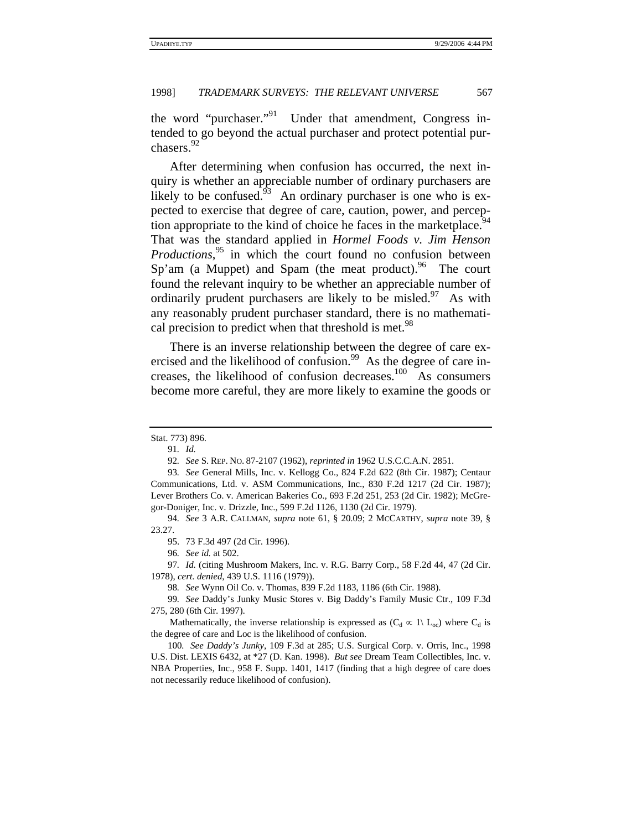the word "purchaser."<sup>91</sup> Under that amendment, Congress intended to go beyond the actual purchaser and protect potential purchasers.<sup>92</sup>

After determining when confusion has occurred, the next inquiry is whether an appreciable number of ordinary purchasers are likely to be confused. $93$  An ordinary purchaser is one who is expected to exercise that degree of care, caution, power, and perception appropriate to the kind of choice he faces in the marketplace.<sup>94</sup> That was the standard applied in *Hormel Foods v. Jim Henson Productions*, 95 in which the court found no confusion between Sp'am (a Muppet) and Spam (the meat product). The court found the relevant inquiry to be whether an appreciable number of ordinarily prudent purchasers are likely to be misled. $97$  As with any reasonably prudent purchaser standard, there is no mathematical precision to predict when that threshold is met.<sup>98</sup>

There is an inverse relationship between the degree of care exercised and the likelihood of confusion.<sup>99</sup> As the degree of care increases, the likelihood of confusion decreases.<sup>100</sup> As consumers become more careful, they are more likely to examine the goods or

97*. Id.* (citing Mushroom Makers, Inc. v. R.G. Barry Corp., 58 F.2d 44, 47 (2d Cir. 1978), *cert. denied*, 439 U.S. 1116 (1979)).

98*. See* Wynn Oil Co. v. Thomas, 839 F.2d 1183, 1186 (6th Cir. 1988).

99*. See* Daddy's Junky Music Stores v. Big Daddy's Family Music Ctr., 109 F.3d 275, 280 (6th Cir. 1997).

Stat. 773) 896.

<sup>91</sup>*. Id.*

<sup>92</sup>*. See* S. REP. NO. 87-2107 (1962), *reprinted in* 1962 U.S.C.C.A.N. 2851.

<sup>93</sup>*. See* General Mills, Inc. v. Kellogg Co., 824 F.2d 622 (8th Cir. 1987); Centaur Communications, Ltd. v. ASM Communications, Inc., 830 F.2d 1217 (2d Cir. 1987); Lever Brothers Co. v. American Bakeries Co., 693 F.2d 251, 253 (2d Cir. 1982); McGregor-Doniger, Inc. v. Drizzle, Inc., 599 F.2d 1126, 1130 (2d Cir. 1979).

<sup>94</sup>*. See* 3 A.R. CALLMAN, *supra* note 61, § 20.09; 2 MCCARTHY, *supra* note 39, § 23.27.

<sup>95. 73</sup> F.3d 497 (2d Cir. 1996).

<sup>96</sup>*. See id.* at 502.

Mathematically, the inverse relationship is expressed as  $(C_d \propto 1 \setminus L_{oc})$  where  $C_d$  is the degree of care and Loc is the likelihood of confusion.

<sup>100</sup>*. See Daddy's Junky*, 109 F.3d at 285; U.S. Surgical Corp. v. Orris, Inc., 1998 U.S. Dist. LEXIS 6432, at \*27 (D. Kan. 1998). *But see* Dream Team Collectibles, Inc. v. NBA Properties, Inc., 958 F. Supp. 1401, 1417 (finding that a high degree of care does not necessarily reduce likelihood of confusion).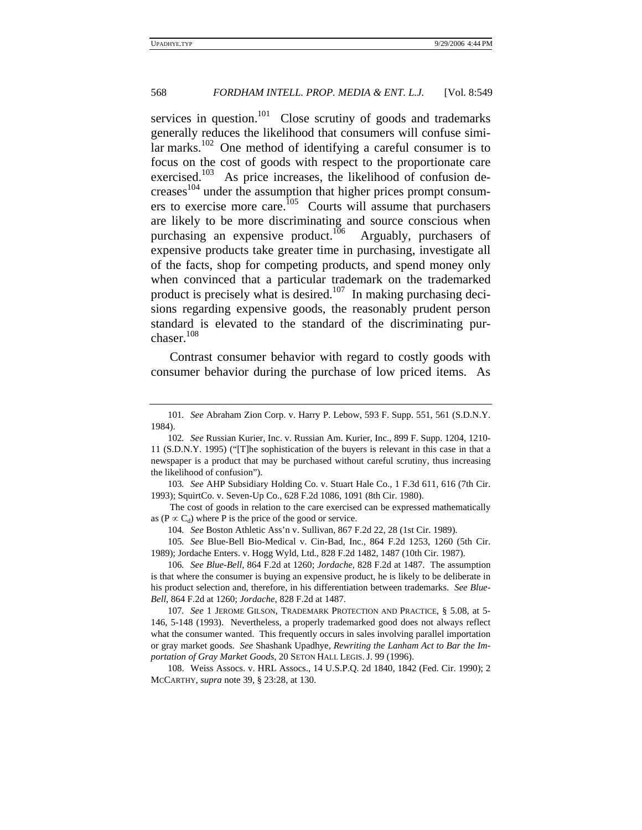services in question.<sup>101</sup> Close scrutiny of goods and trademarks generally reduces the likelihood that consumers will confuse simi- $\text{lar marks.}^{102}$  One method of identifying a careful consumer is to focus on the cost of goods with respect to the proportionate care exercised.<sup>103</sup> As price increases, the likelihood of confusion decreases104 under the assumption that higher prices prompt consumers to exercise more care.<sup>105</sup> Courts will assume that purchasers are likely to be more discriminating and source conscious when purchasing an expensive product.<sup>106</sup> Arguably, purchasers of expensive products take greater time in purchasing, investigate all of the facts, shop for competing products, and spend money only when convinced that a particular trademark on the trademarked product is precisely what is desired.<sup>107</sup> In making purchasing decisions regarding expensive goods, the reasonably prudent person standard is elevated to the standard of the discriminating purchaser.<sup>108</sup>

Contrast consumer behavior with regard to costly goods with consumer behavior during the purchase of low priced items. As

The cost of goods in relation to the care exercised can be expressed mathematically as (P  $\propto$  C<sub>d</sub>) where P is the price of the good or service.

104*. See* Boston Athletic Ass'n v. Sullivan, 867 F.2d 22, 28 (1st Cir. 1989).

105*. See* Blue-Bell Bio-Medical v. Cin-Bad, Inc., 864 F.2d 1253, 1260 (5th Cir. 1989); Jordache Enters. v. Hogg Wyld, Ltd., 828 F.2d 1482, 1487 (10th Cir. 1987).

106*. See Blue-Bell*, 864 F.2d at 1260; *Jordache*, 828 F.2d at 1487. The assumption is that where the consumer is buying an expensive product, he is likely to be deliberate in his product selection and, therefore, in his differentiation between trademarks. *See Blue-Bell*, 864 F.2d at 1260; *Jordache*, 828 F.2d at 1487.

107*. See* 1 JEROME GILSON, TRADEMARK PROTECTION AND PRACTICE, § 5.08, at 5- 146, 5-148 (1993). Nevertheless, a properly trademarked good does not always reflect what the consumer wanted. This frequently occurs in sales involving parallel importation or gray market goods. *See* Shashank Upadhye, *Rewriting the Lanham Act to Bar the Importation of Gray Market Goods*, 20 SETON HALL LEGIS. J. 99 (1996).

108. Weiss Assocs. v. HRL Assocs., 14 U.S.P.Q. 2d 1840, 1842 (Fed. Cir. 1990); 2 MCCARTHY, *supra* note 39, § 23:28, at 130.

<sup>101</sup>*. See* Abraham Zion Corp. v. Harry P. Lebow, 593 F. Supp. 551, 561 (S.D.N.Y. 1984).

<sup>102</sup>*. See* Russian Kurier, Inc. v. Russian Am. Kurier, Inc., 899 F. Supp. 1204, 1210- 11 (S.D.N.Y. 1995) ("[T]he sophistication of the buyers is relevant in this case in that a newspaper is a product that may be purchased without careful scrutiny, thus increasing the likelihood of confusion").

<sup>103</sup>*. See* AHP Subsidiary Holding Co. v. Stuart Hale Co., 1 F.3d 611, 616 (7th Cir. 1993); SquirtCo. v. Seven-Up Co., 628 F.2d 1086, 1091 (8th Cir. 1980).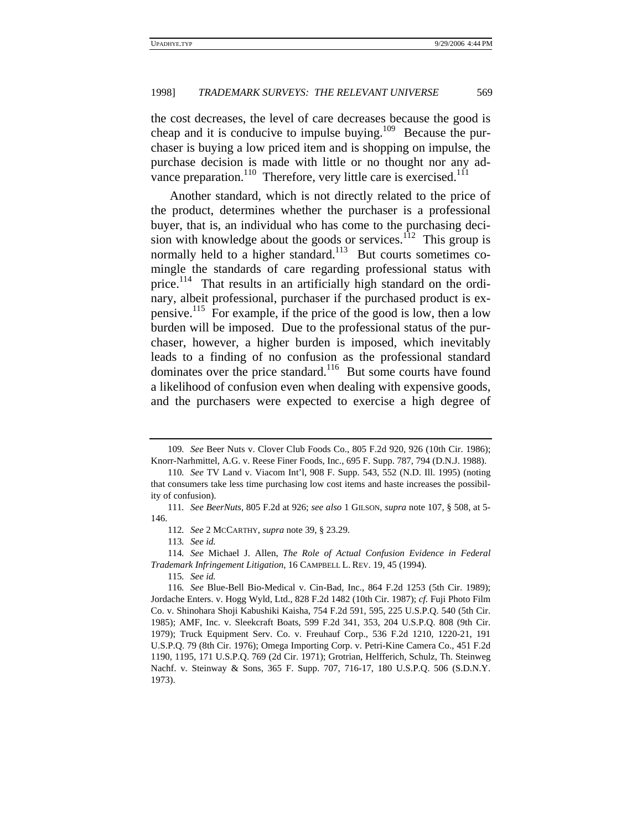the cost decreases, the level of care decreases because the good is cheap and it is conducive to impulse buying.<sup>109</sup> Because the purchaser is buying a low priced item and is shopping on impulse, the purchase decision is made with little or no thought nor any advance preparation.<sup>110</sup> Therefore, very little care is exercised.<sup>111</sup>

Another standard, which is not directly related to the price of the product, determines whether the purchaser is a professional buyer, that is, an individual who has come to the purchasing decision with knowledge about the goods or services. $1/12$  This group is normally held to a higher standard.<sup>113</sup> But courts sometimes comingle the standards of care regarding professional status with price.<sup>114</sup> That results in an artificially high standard on the ordinary, albeit professional, purchaser if the purchased product is expensive.115 For example, if the price of the good is low, then a low burden will be imposed. Due to the professional status of the purchaser, however, a higher burden is imposed, which inevitably leads to a finding of no confusion as the professional standard dominates over the price standard.<sup>116</sup> But some courts have found a likelihood of confusion even when dealing with expensive goods, and the purchasers were expected to exercise a high degree of

113*. See id.*

<sup>109</sup>*. See* Beer Nuts v. Clover Club Foods Co., 805 F.2d 920, 926 (10th Cir. 1986); Knorr-Narhmittel, A.G. v. Reese Finer Foods, Inc., 695 F. Supp. 787, 794 (D.N.J. 1988).

<sup>110</sup>*. See* TV Land v. Viacom Int'l, 908 F. Supp. 543, 552 (N.D. Ill. 1995) (noting that consumers take less time purchasing low cost items and haste increases the possibility of confusion).

<sup>111</sup>*. See BeerNuts*, 805 F.2d at 926; *see also* 1 GILSON, *supra* note 107, § 508, at 5- 146.

<sup>112</sup>*. See* 2 MCCARTHY, *supra* note 39, § 23.29.

<sup>114</sup>*. See* Michael J. Allen, *The Role of Actual Confusion Evidence in Federal Trademark Infringement Litigation*, 16 CAMPBELL L. REV. 19, 45 (1994).

<sup>115</sup>*. See id.*

<sup>116</sup>*. See* Blue-Bell Bio-Medical v. Cin-Bad, Inc., 864 F.2d 1253 (5th Cir. 1989); Jordache Enters. v. Hogg Wyld, Ltd., 828 F.2d 1482 (10th Cir. 1987); *cf.* Fuji Photo Film Co. v. Shinohara Shoji Kabushiki Kaisha, 754 F.2d 591, 595, 225 U.S.P.Q. 540 (5th Cir. 1985); AMF, Inc. v. Sleekcraft Boats, 599 F.2d 341, 353, 204 U.S.P.Q. 808 (9th Cir. 1979); Truck Equipment Serv. Co. v. Freuhauf Corp., 536 F.2d 1210, 1220-21, 191 U.S.P.Q. 79 (8th Cir. 1976); Omega Importing Corp. v. Petri-Kine Camera Co., 451 F.2d 1190, 1195, 171 U.S.P.Q. 769 (2d Cir. 1971); Grotrian, Helfferich, Schulz, Th. Steinweg Nachf. v. Steinway & Sons, 365 F. Supp. 707, 716-17, 180 U.S.P.Q. 506 (S.D.N.Y. 1973).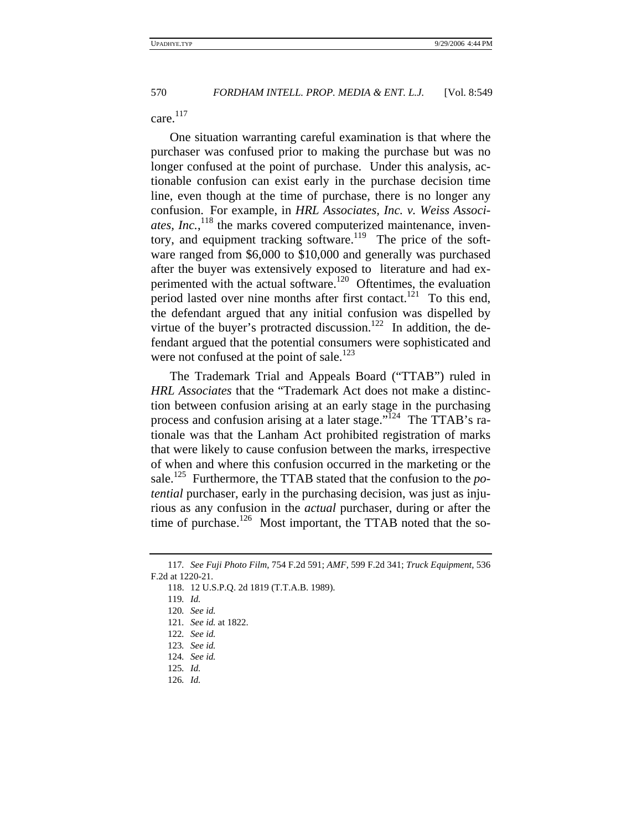care.<sup>117</sup>

One situation warranting careful examination is that where the purchaser was confused prior to making the purchase but was no longer confused at the point of purchase. Under this analysis, actionable confusion can exist early in the purchase decision time line, even though at the time of purchase, there is no longer any confusion. For example, in *HRL Associates, Inc. v. Weiss Associ*ates, Inc.,<sup>118</sup> the marks covered computerized maintenance, inventory, and equipment tracking software.<sup>119</sup> The price of the software ranged from \$6,000 to \$10,000 and generally was purchased after the buyer was extensively exposed to literature and had experimented with the actual software.<sup>120</sup> Oftentimes, the evaluation period lasted over nine months after first contact.<sup>121</sup> To this end, the defendant argued that any initial confusion was dispelled by virtue of the buyer's protracted discussion.<sup>122</sup> In addition, the defendant argued that the potential consumers were sophisticated and were not confused at the point of sale.<sup>123</sup>

The Trademark Trial and Appeals Board ("TTAB") ruled in *HRL Associates* that the "Trademark Act does not make a distinction between confusion arising at an early stage in the purchasing process and confusion arising at a later stage."124 The TTAB's rationale was that the Lanham Act prohibited registration of marks that were likely to cause confusion between the marks, irrespective of when and where this confusion occurred in the marketing or the sale.125 Furthermore, the TTAB stated that the confusion to the *potential* purchaser, early in the purchasing decision, was just as injurious as any confusion in the *actual* purchaser, during or after the time of purchase.<sup>126</sup> Most important, the TTAB noted that the so-

- 122*. See id.*
- 123*. See id.*

126*. Id.*

<sup>117</sup>*. See Fuji Photo Film*, 754 F.2d 591; *AMF*, 599 F.2d 341; *Truck Equipment*, 536 F.2d at 1220-21.

<sup>118. 12</sup> U.S.P.Q. 2d 1819 (T.T.A.B. 1989).

<sup>119</sup>*. Id.*

<sup>120</sup>*. See id.*

<sup>121</sup>*. See id.* at 1822.

<sup>124</sup>*. See id.*

<sup>125</sup>*. Id.*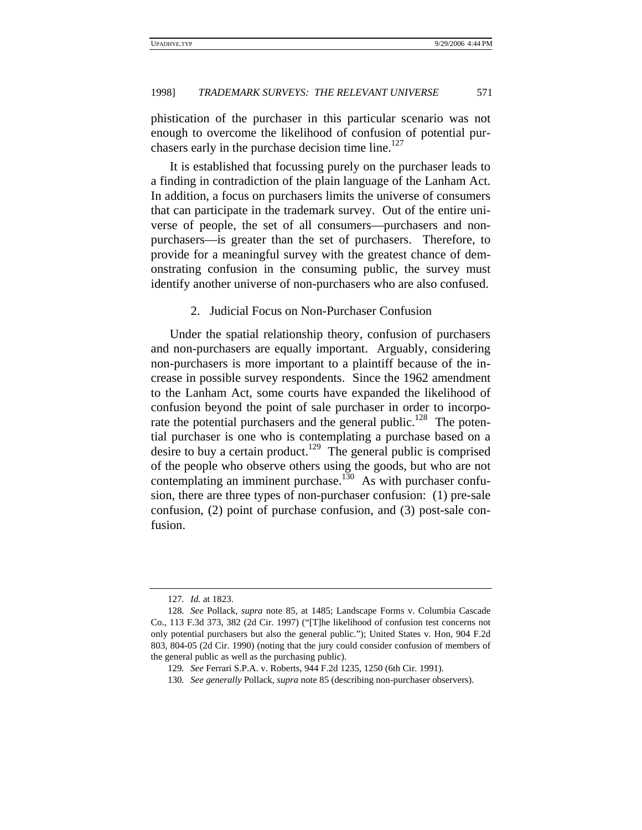phistication of the purchaser in this particular scenario was not enough to overcome the likelihood of confusion of potential purchasers early in the purchase decision time line.<sup>127</sup>

It is established that focussing purely on the purchaser leads to a finding in contradiction of the plain language of the Lanham Act. In addition, a focus on purchasers limits the universe of consumers that can participate in the trademark survey. Out of the entire universe of people, the set of all consumers—purchasers and nonpurchasers—is greater than the set of purchasers. Therefore, to provide for a meaningful survey with the greatest chance of demonstrating confusion in the consuming public, the survey must identify another universe of non-purchasers who are also confused.

## 2. Judicial Focus on Non-Purchaser Confusion

Under the spatial relationship theory, confusion of purchasers and non-purchasers are equally important. Arguably, considering non-purchasers is more important to a plaintiff because of the increase in possible survey respondents. Since the 1962 amendment to the Lanham Act, some courts have expanded the likelihood of confusion beyond the point of sale purchaser in order to incorporate the potential purchasers and the general public.<sup>128</sup> The potential purchaser is one who is contemplating a purchase based on a desire to buy a certain product.<sup>129</sup> The general public is comprised of the people who observe others using the goods, but who are not contemplating an imminent purchase.<sup>130</sup> As with purchaser confusion, there are three types of non-purchaser confusion: (1) pre-sale confusion, (2) point of purchase confusion, and (3) post-sale confusion.

<sup>127</sup>*. Id.* at 1823.

<sup>128</sup>*. See* Pollack, *supra* note 85, at 1485; Landscape Forms v. Columbia Cascade Co., 113 F.3d 373, 382 (2d Cir. 1997) ("[T]he likelihood of confusion test concerns not only potential purchasers but also the general public."); United States v. Hon, 904 F.2d 803, 804-05 (2d Cir. 1990) (noting that the jury could consider confusion of members of the general public as well as the purchasing public).

<sup>129</sup>*. See* Ferrari S.P.A. v. Roberts, 944 F.2d 1235, 1250 (6th Cir. 1991).

<sup>130</sup>*. See generally* Pollack, *supra* note 85 (describing non-purchaser observers).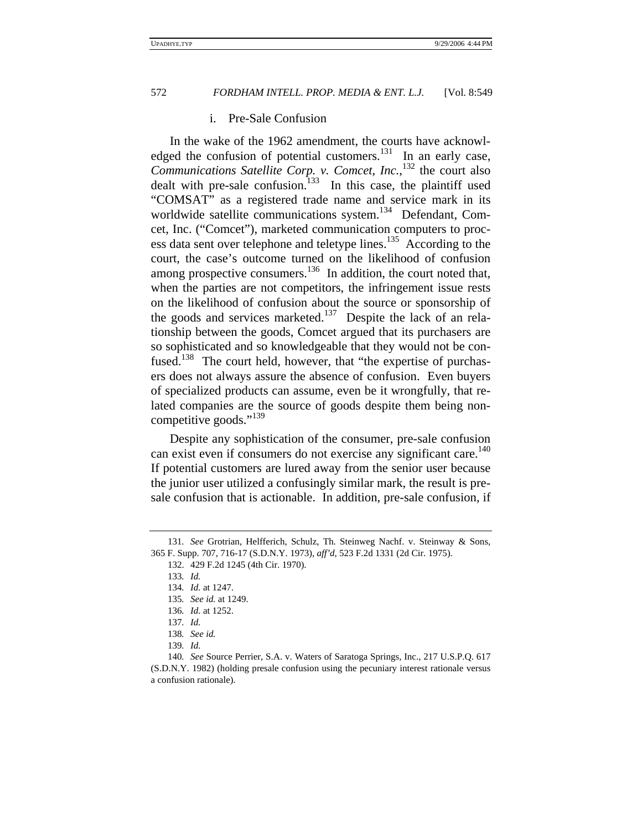#### i. Pre-Sale Confusion

In the wake of the 1962 amendment, the courts have acknowledged the confusion of potential customers.<sup>131</sup> In an early case, *Communications Satellite Corp. v. Comcet, Inc.*, 132 the court also dealt with pre-sale confusion.<sup>133</sup> In this case, the plaintiff used "COMSAT" as a registered trade name and service mark in its worldwide satellite communications system.<sup>134</sup> Defendant, Comcet, Inc. ("Comcet"), marketed communication computers to process data sent over telephone and teletype lines.135 According to the court, the case's outcome turned on the likelihood of confusion among prospective consumers. $136$  In addition, the court noted that, when the parties are not competitors, the infringement issue rests on the likelihood of confusion about the source or sponsorship of the goods and services marketed.<sup>137</sup> Despite the lack of an relationship between the goods, Comcet argued that its purchasers are so sophisticated and so knowledgeable that they would not be confused.<sup>138</sup> The court held, however, that "the expertise of purchasers does not always assure the absence of confusion. Even buyers of specialized products can assume, even be it wrongfully, that related companies are the source of goods despite them being noncompetitive goods."<sup>139</sup>

Despite any sophistication of the consumer, pre-sale confusion can exist even if consumers do not exercise any significant care.<sup>140</sup> If potential customers are lured away from the senior user because the junior user utilized a confusingly similar mark, the result is presale confusion that is actionable. In addition, pre-sale confusion, if

<sup>131</sup>*. See* Grotrian, Helfferich, Schulz, Th. Steinweg Nachf. v. Steinway & Sons, 365 F. Supp. 707, 716-17 (S.D.N.Y. 1973), *aff'd*, 523 F.2d 1331 (2d Cir. 1975).

<sup>132. 429</sup> F.2d 1245 (4th Cir. 1970).

<sup>133</sup>*. Id.*

<sup>134</sup>*. Id.* at 1247.

<sup>135</sup>*. See id.* at 1249.

<sup>136</sup>*. Id.* at 1252.

<sup>137</sup>*. Id.*

<sup>138</sup>*. See id.*

<sup>139</sup>*. Id.*

<sup>140</sup>*. See* Source Perrier, S.A. v. Waters of Saratoga Springs, Inc., 217 U.S.P.Q. 617 (S.D.N.Y. 1982) (holding presale confusion using the pecuniary interest rationale versus a confusion rationale).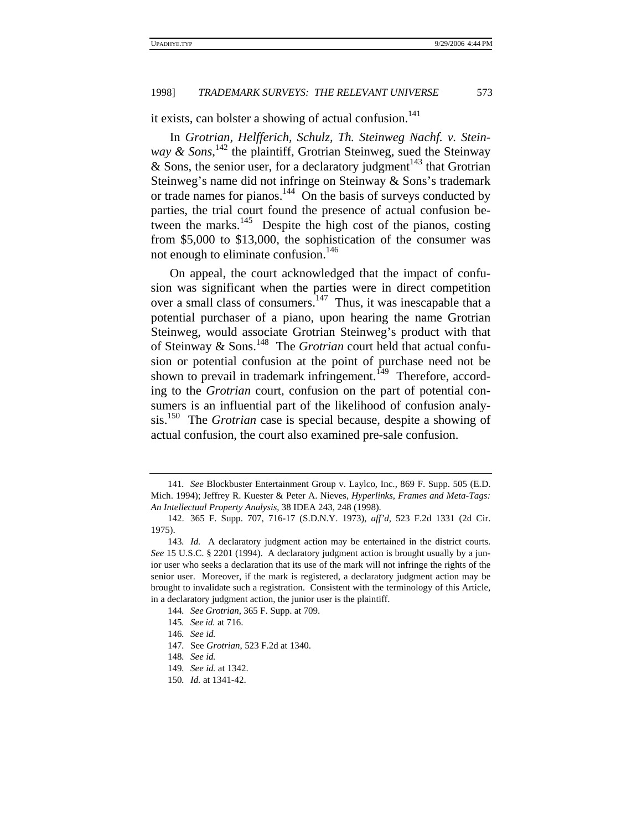it exists, can bolster a showing of actual confusion. $141$ 

In *Grotrian, Helfferich, Schulz, Th. Steinweg Nachf. v. Steinway & Sons*, 142 the plaintiff, Grotrian Steinweg, sued the Steinway & Sons, the senior user, for a declaratory judgment<sup>143</sup> that Grotrian Steinweg's name did not infringe on Steinway & Sons's trademark or trade names for pianos.<sup>144</sup> On the basis of surveys conducted by parties, the trial court found the presence of actual confusion between the marks.<sup>145</sup> Despite the high cost of the pianos, costing from \$5,000 to \$13,000, the sophistication of the consumer was not enough to eliminate confusion. $146$ 

On appeal, the court acknowledged that the impact of confusion was significant when the parties were in direct competition over a small class of consumers.<sup>147</sup> Thus, it was inescapable that a potential purchaser of a piano, upon hearing the name Grotrian Steinweg, would associate Grotrian Steinweg's product with that of Steinway & Sons.148 The *Grotrian* court held that actual confusion or potential confusion at the point of purchase need not be shown to prevail in trademark infringement.<sup>149</sup> Therefore, according to the *Grotrian* court, confusion on the part of potential consumers is an influential part of the likelihood of confusion analysis.150 The *Grotrian* case is special because, despite a showing of actual confusion, the court also examined pre-sale confusion.

<sup>141</sup>*. See* Blockbuster Entertainment Group v. Laylco, Inc., 869 F. Supp. 505 (E.D. Mich. 1994); Jeffrey R. Kuester & Peter A. Nieves, *Hyperlinks, Frames and Meta-Tags: An Intellectual Property Analysis*, 38 IDEA 243, 248 (1998).

<sup>142. 365</sup> F. Supp. 707, 716-17 (S.D.N.Y. 1973), *aff'd*, 523 F.2d 1331 (2d Cir. 1975).

<sup>143</sup>*. Id.* A declaratory judgment action may be entertained in the district courts. *See* 15 U.S.C. § 2201 (1994). A declaratory judgment action is brought usually by a junior user who seeks a declaration that its use of the mark will not infringe the rights of the senior user. Moreover, if the mark is registered, a declaratory judgment action may be brought to invalidate such a registration. Consistent with the terminology of this Article, in a declaratory judgment action, the junior user is the plaintiff.

<sup>144</sup>*. See Grotrian*, 365 F. Supp. at 709.

<sup>145</sup>*. See id.* at 716.

<sup>146</sup>*. See id.*

<sup>147</sup>*.* See *Grotrian*, 523 F.2d at 1340.

<sup>148</sup>*. See id.*

<sup>149</sup>*. See id.* at 1342.

<sup>150</sup>*. Id.* at 1341-42.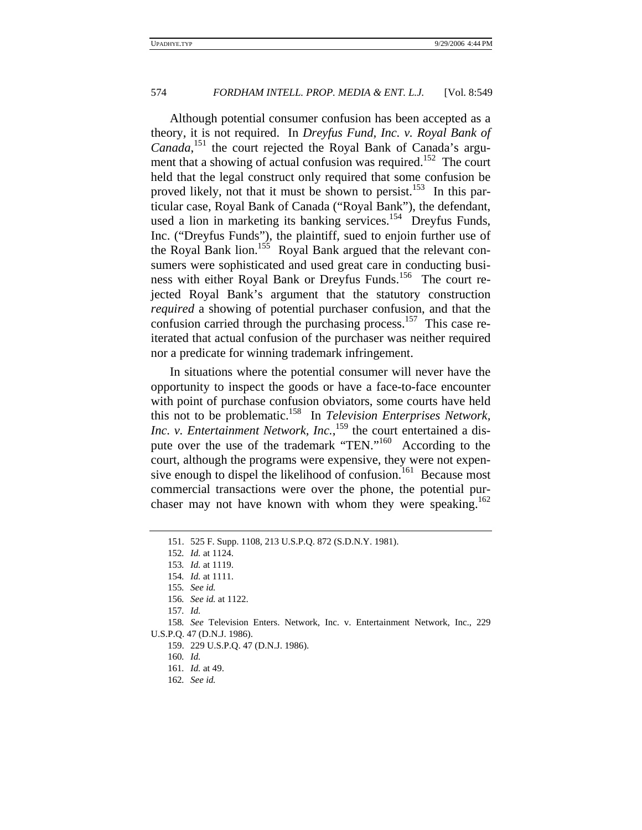Although potential consumer confusion has been accepted as a theory, it is not required. In *Dreyfus Fund, Inc. v. Royal Bank of Canada*, 151 the court rejected the Royal Bank of Canada's argument that a showing of actual confusion was required.<sup>152</sup> The court held that the legal construct only required that some confusion be proved likely, not that it must be shown to persist.<sup>153</sup> In this particular case, Royal Bank of Canada ("Royal Bank"), the defendant, used a lion in marketing its banking services.<sup>154</sup> Dreyfus Funds, Inc. ("Dreyfus Funds"), the plaintiff, sued to enjoin further use of the Royal Bank lion.<sup>155</sup> Royal Bank argued that the relevant consumers were sophisticated and used great care in conducting business with either Royal Bank or Dreyfus Funds.156 The court rejected Royal Bank's argument that the statutory construction *required* a showing of potential purchaser confusion, and that the confusion carried through the purchasing process.<sup>157</sup> This case reiterated that actual confusion of the purchaser was neither required nor a predicate for winning trademark infringement.

In situations where the potential consumer will never have the opportunity to inspect the goods or have a face-to-face encounter with point of purchase confusion obviators, some courts have held this not to be problematic.158 In *Television Enterprises Network,*  Inc. v. Entertainment Network, Inc.,<sup>159</sup> the court entertained a dispute over the use of the trademark "TEN."160 According to the court, although the programs were expensive, they were not expensive enough to dispel the likelihood of confusion.<sup>161</sup> Because most commercial transactions were over the phone, the potential purchaser may not have known with whom they were speaking.<sup>162</sup>

- 159. 229 U.S.P.Q. 47 (D.N.J. 1986).
- 160*. Id.*
- 161*. Id.* at 49.
- 162*. See id.*

<sup>151. 525</sup> F. Supp. 1108, 213 U.S.P.Q. 872 (S.D.N.Y. 1981).

<sup>152</sup>*. Id.* at 1124.

<sup>153</sup>*. Id.* at 1119.

<sup>154</sup>*. Id.* at 1111.

<sup>155</sup>*. See id.*

<sup>156</sup>*. See id.* at 1122.

<sup>157</sup>*. Id.*

<sup>158</sup>*. See* Television Enters. Network, Inc. v. Entertainment Network, Inc., 229 U.S.P.Q. 47 (D.N.J. 1986).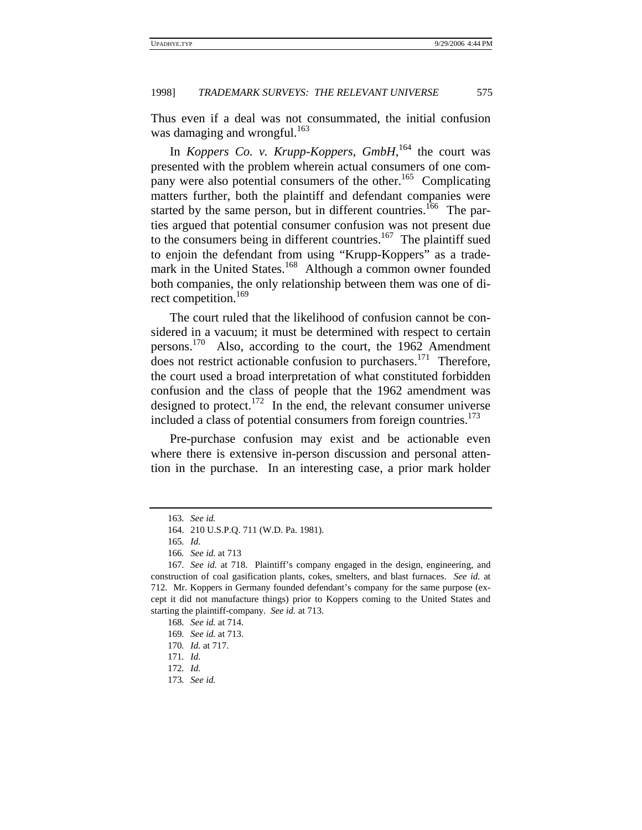Thus even if a deal was not consummated, the initial confusion was damaging and wrongful.<sup>163</sup>

In *Koppers Co. v. Krupp-Koppers, GmbH*,<sup>164</sup> the court was presented with the problem wherein actual consumers of one company were also potential consumers of the other.<sup>165</sup> Complicating matters further, both the plaintiff and defendant companies were started by the same person, but in different countries.<sup>166</sup> The parties argued that potential consumer confusion was not present due to the consumers being in different countries.<sup>167</sup> The plaintiff sued to enjoin the defendant from using "Krupp-Koppers" as a trademark in the United States.<sup>168</sup> Although a common owner founded both companies, the only relationship between them was one of direct competition.<sup>169</sup>

The court ruled that the likelihood of confusion cannot be considered in a vacuum; it must be determined with respect to certain persons.170 Also, according to the court, the 1962 Amendment does not restrict actionable confusion to purchasers.<sup>171</sup> Therefore, the court used a broad interpretation of what constituted forbidden confusion and the class of people that the 1962 amendment was designed to protect.<sup>172</sup> In the end, the relevant consumer universe included a class of potential consumers from foreign countries.<sup>173</sup>

Pre-purchase confusion may exist and be actionable even where there is extensive in-person discussion and personal attention in the purchase. In an interesting case, a prior mark holder

<sup>163</sup>*. See id.*

<sup>164. 210</sup> U.S.P.Q. 711 (W.D. Pa. 1981).

<sup>165</sup>*. Id.*

<sup>166</sup>*. See id.* at 713

<sup>167</sup>*. See id.* at 718. Plaintiff's company engaged in the design, engineering, and construction of coal gasification plants, cokes, smelters, and blast furnaces. *See id.* at 712. Mr. Koppers in Germany founded defendant's company for the same purpose (except it did not manufacture things) prior to Koppers coming to the United States and starting the plaintiff-company. *See id.* at 713.

<sup>168</sup>*. See id.* at 714.

<sup>169</sup>*. See id.* at 713.

<sup>170</sup>*. Id.* at 717.

<sup>171</sup>*. Id.*

<sup>172</sup>*. Id.*

<sup>173</sup>*. See id.*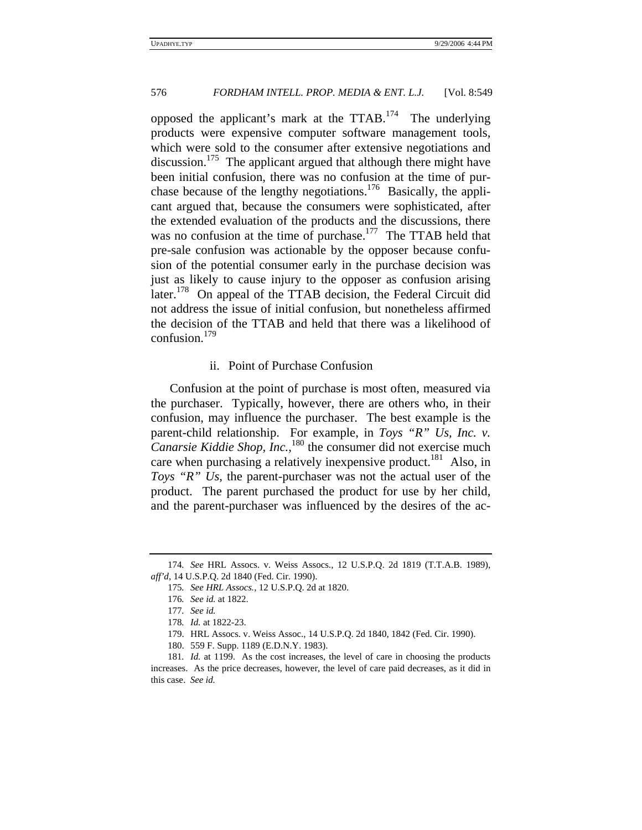opposed the applicant's mark at the TTAB.<sup>174</sup> The underlying products were expensive computer software management tools, which were sold to the consumer after extensive negotiations and discussion.<sup>175</sup> The applicant argued that although there might have been initial confusion, there was no confusion at the time of purchase because of the lengthy negotiations.<sup>176</sup> Basically, the applicant argued that, because the consumers were sophisticated, after the extended evaluation of the products and the discussions, there was no confusion at the time of purchase.<sup>177</sup> The TTAB held that pre-sale confusion was actionable by the opposer because confusion of the potential consumer early in the purchase decision was just as likely to cause injury to the opposer as confusion arising later.<sup>178</sup> On appeal of the TTAB decision, the Federal Circuit did not address the issue of initial confusion, but nonetheless affirmed the decision of the TTAB and held that there was a likelihood of confusion.<sup>179</sup>

## ii. Point of Purchase Confusion

Confusion at the point of purchase is most often, measured via the purchaser. Typically, however, there are others who, in their confusion, may influence the purchaser. The best example is the parent-child relationship. For example, in *Toys "R" Us, Inc. v. Canarsie Kiddie Shop, Inc.*,<sup>180</sup> the consumer did not exercise much care when purchasing a relatively inexpensive product.<sup>181</sup> Also, in *Toys "R" Us*, the parent-purchaser was not the actual user of the product. The parent purchased the product for use by her child, and the parent-purchaser was influenced by the desires of the ac-

<sup>174</sup>*. See* HRL Assocs. v. Weiss Assocs., 12 U.S.P.Q. 2d 1819 (T.T.A.B. 1989), *aff'd*, 14 U.S.P.Q. 2d 1840 (Fed. Cir. 1990).

<sup>175</sup>*. See HRL Assocs.*, 12 U.S.P.Q. 2d at 1820.

<sup>176</sup>*. See id.* at 1822.

<sup>177</sup>*. See id.*

<sup>178</sup>*. Id.* at 1822-23.

<sup>179.</sup> HRL Assocs. v. Weiss Assoc., 14 U.S.P.Q. 2d 1840, 1842 (Fed. Cir. 1990).

<sup>180. 559</sup> F. Supp. 1189 (E.D.N.Y. 1983).

<sup>181</sup>*. Id.* at 1199. As the cost increases, the level of care in choosing the products increases. As the price decreases, however, the level of care paid decreases, as it did in this case. *See id.*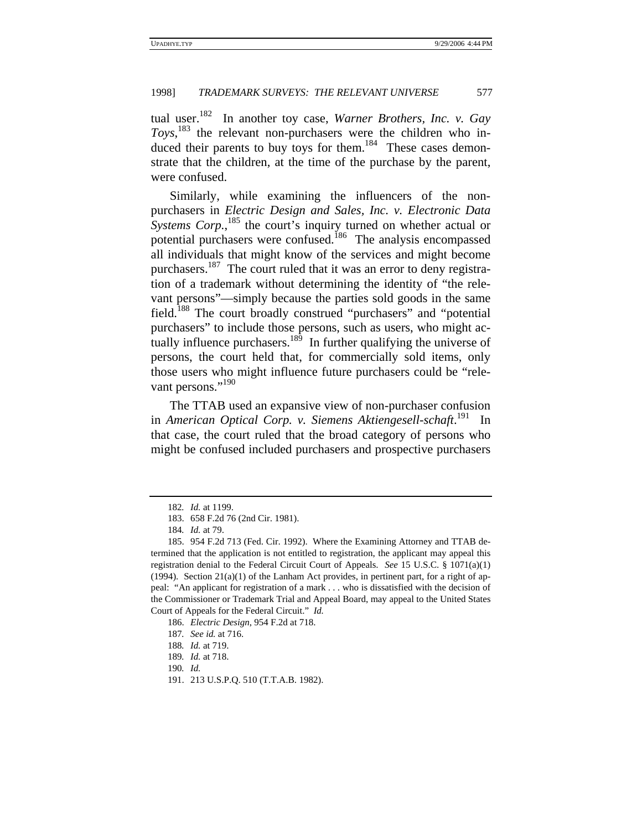tual user.<sup>182</sup> In another toy case, *Warner Brothers, Inc. v. Gay*  $T\text{o}ys$ ,  $^{183}$  the relevant non-purchasers were the children who induced their parents to buy toys for them.<sup>184</sup> These cases demonstrate that the children, at the time of the purchase by the parent, were confused.

Similarly, while examining the influencers of the nonpurchasers in *Electric Design and Sales, Inc. v. Electronic Data*  Systems Corp.,<sup>185</sup> the court's inquiry turned on whether actual or potential purchasers were confused.<sup>186</sup> The analysis encompassed all individuals that might know of the services and might become purchasers.<sup>187</sup> The court ruled that it was an error to deny registration of a trademark without determining the identity of "the relevant persons"—simply because the parties sold goods in the same field.188 The court broadly construed "purchasers" and "potential purchasers" to include those persons, such as users, who might actually influence purchasers. $189$  In further qualifying the universe of persons, the court held that, for commercially sold items, only those users who might influence future purchasers could be "relevant persons."<sup>190</sup>

The TTAB used an expansive view of non-purchaser confusion in *American Optical Corp. v. Siemens Aktiengesell-schaft*. 191 In that case, the court ruled that the broad category of persons who might be confused included purchasers and prospective purchasers

- 187*. See id.* at 716.
- 188*. Id.* at 719.

<sup>182</sup>*. Id.* at 1199.

<sup>183. 658</sup> F.2d 76 (2nd Cir. 1981).

<sup>184</sup>*. Id.* at 79.

<sup>185. 954</sup> F.2d 713 (Fed. Cir. 1992). Where the Examining Attorney and TTAB determined that the application is not entitled to registration, the applicant may appeal this registration denial to the Federal Circuit Court of Appeals. *See* 15 U.S.C. § 1071(a)(1) (1994). Section  $21(a)(1)$  of the Lanham Act provides, in pertinent part, for a right of appeal: "An applicant for registration of a mark . . . who is dissatisfied with the decision of the Commissioner or Trademark Trial and Appeal Board, may appeal to the United States Court of Appeals for the Federal Circuit." *Id.*

<sup>186.</sup> *Electric Design*, 954 F.2d at 718.

<sup>189</sup>*. Id.* at 718.

<sup>190</sup>*. Id.*

<sup>191. 213</sup> U.S.P.Q. 510 (T.T.A.B. 1982).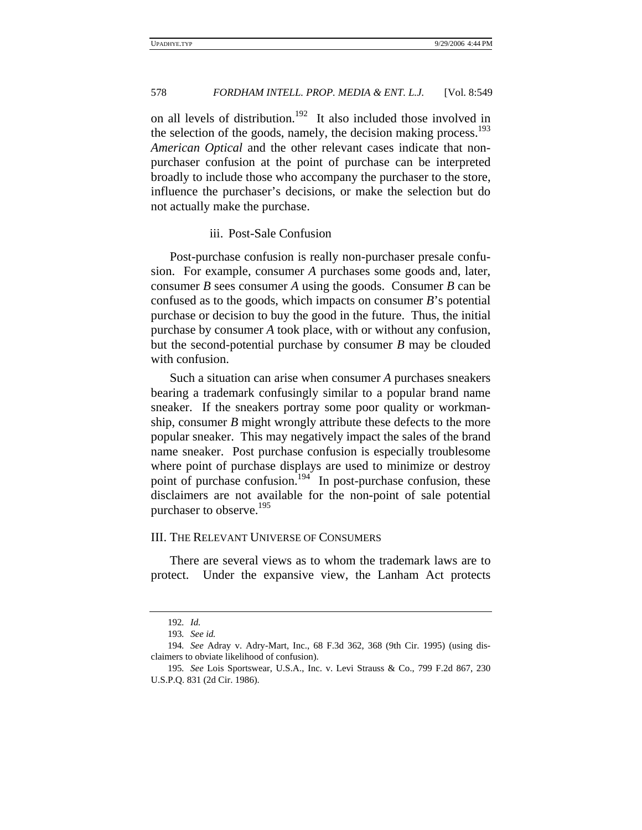on all levels of distribution.<sup>192</sup> It also included those involved in the selection of the goods, namely, the decision making process. $193$ *American Optical* and the other relevant cases indicate that nonpurchaser confusion at the point of purchase can be interpreted broadly to include those who accompany the purchaser to the store, influence the purchaser's decisions, or make the selection but do not actually make the purchase.

#### iii. Post-Sale Confusion

Post-purchase confusion is really non-purchaser presale confusion. For example, consumer *A* purchases some goods and, later, consumer *B* sees consumer *A* using the goods. Consumer *B* can be confused as to the goods, which impacts on consumer *B*'s potential purchase or decision to buy the good in the future. Thus, the initial purchase by consumer *A* took place, with or without any confusion, but the second-potential purchase by consumer *B* may be clouded with confusion.

Such a situation can arise when consumer *A* purchases sneakers bearing a trademark confusingly similar to a popular brand name sneaker. If the sneakers portray some poor quality or workmanship, consumer *B* might wrongly attribute these defects to the more popular sneaker. This may negatively impact the sales of the brand name sneaker. Post purchase confusion is especially troublesome where point of purchase displays are used to minimize or destroy point of purchase confusion.<sup>194</sup> In post-purchase confusion, these disclaimers are not available for the non-point of sale potential purchaser to observe.<sup>195</sup>

## III. THE RELEVANT UNIVERSE OF CONSUMERS

There are several views as to whom the trademark laws are to protect. Under the expansive view, the Lanham Act protects

<sup>192</sup>*. Id.*

<sup>193</sup>*. See id.*

<sup>194</sup>*. See* Adray v. Adry-Mart, Inc., 68 F.3d 362, 368 (9th Cir. 1995) (using disclaimers to obviate likelihood of confusion).

<sup>195</sup>*. See* Lois Sportswear, U.S.A., Inc. v. Levi Strauss & Co., 799 F.2d 867, 230 U.S.P.Q. 831 (2d Cir. 1986).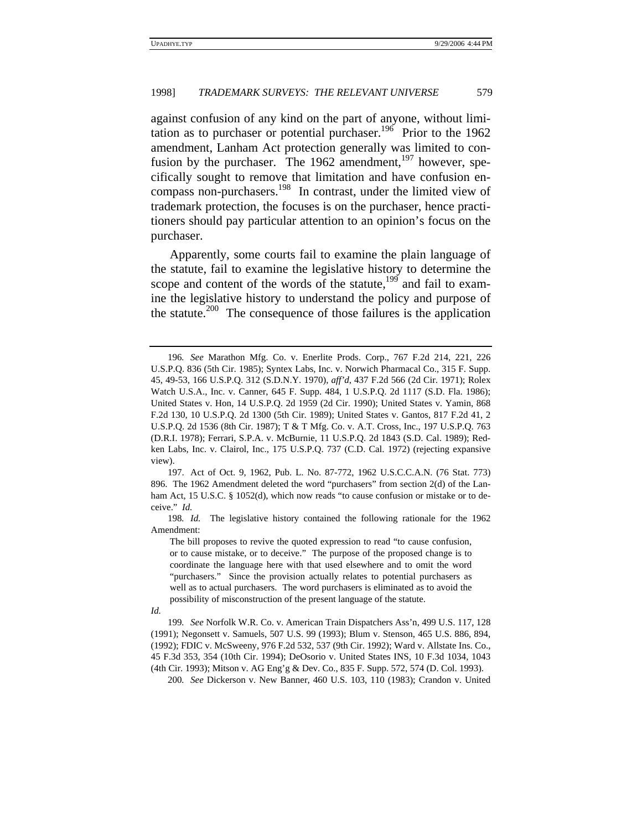against confusion of any kind on the part of anyone, without limitation as to purchaser or potential purchaser.<sup>196</sup> Prior to the 1962 amendment, Lanham Act protection generally was limited to confusion by the purchaser. The 1962 amendment, $197$  however, specifically sought to remove that limitation and have confusion encompass non-purchasers.198 In contrast, under the limited view of trademark protection, the focuses is on the purchaser, hence practitioners should pay particular attention to an opinion's focus on the purchaser.

Apparently, some courts fail to examine the plain language of the statute, fail to examine the legislative history to determine the scope and content of the words of the statute, $199$  and fail to examine the legislative history to understand the policy and purpose of the statute.<sup>200</sup> The consequence of those failures is the application

<sup>196</sup>*. See* Marathon Mfg. Co. v. Enerlite Prods. Corp., 767 F.2d 214, 221, 226 U.S.P.Q. 836 (5th Cir. 1985); Syntex Labs, Inc. v. Norwich Pharmacal Co., 315 F. Supp. 45, 49-53, 166 U.S.P.Q. 312 (S.D.N.Y. 1970), *aff'd*, 437 F.2d 566 (2d Cir. 1971); Rolex Watch U.S.A., Inc. v. Canner, 645 F. Supp. 484, 1 U.S.P.Q. 2d 1117 (S.D. Fla. 1986); United States v. Hon, 14 U.S.P.Q. 2d 1959 (2d Cir. 1990); United States v. Yamin, 868 F.2d 130, 10 U.S.P.Q. 2d 1300 (5th Cir. 1989); United States v. Gantos, 817 F.2d 41, 2 U.S.P.Q. 2d 1536 (8th Cir. 1987); T & T Mfg. Co. v. A.T. Cross, Inc., 197 U.S.P.Q. 763 (D.R.I. 1978); Ferrari, S.P.A. v. McBurnie, 11 U.S.P.Q. 2d 1843 (S.D. Cal. 1989); Redken Labs, Inc. v. Clairol, Inc., 175 U.S.P.Q. 737 (C.D. Cal. 1972) (rejecting expansive view).

<sup>197.</sup> Act of Oct. 9, 1962, Pub. L. No. 87-772, 1962 U.S.C.C.A.N. (76 Stat. 773) 896. The 1962 Amendment deleted the word "purchasers" from section 2(d) of the Lanham Act, 15 U.S.C. § 1052(d), which now reads "to cause confusion or mistake or to deceive." *Id.*

<sup>198</sup>*. Id.* The legislative history contained the following rationale for the 1962 Amendment:

The bill proposes to revive the quoted expression to read "to cause confusion, or to cause mistake, or to deceive." The purpose of the proposed change is to coordinate the language here with that used elsewhere and to omit the word "purchasers." Since the provision actually relates to potential purchasers as well as to actual purchasers. The word purchasers is eliminated as to avoid the possibility of misconstruction of the present language of the statute.

*Id.*

<sup>199</sup>*. See* Norfolk W.R. Co. v. American Train Dispatchers Ass'n, 499 U.S. 117, 128 (1991); Negonsett v. Samuels, 507 U.S. 99 (1993); Blum v. Stenson, 465 U.S. 886, 894, (1992); FDIC v. McSweeny, 976 F.2d 532, 537 (9th Cir. 1992); Ward v. Allstate Ins. Co., 45 F.3d 353, 354 (10th Cir. 1994); DeOsorio v. United States INS, 10 F.3d 1034, 1043 (4th Cir. 1993); Mitson v. AG Eng'g & Dev. Co., 835 F. Supp. 572, 574 (D. Col. 1993).

<sup>200</sup>*. See* Dickerson v. New Banner, 460 U.S. 103, 110 (1983); Crandon v. United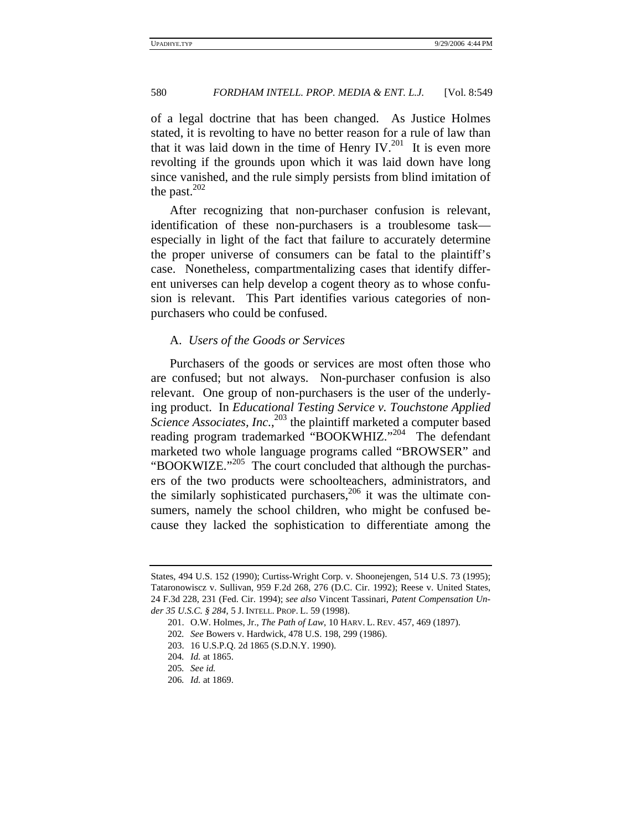of a legal doctrine that has been changed. As Justice Holmes stated, it is revolting to have no better reason for a rule of law than that it was laid down in the time of Henry IV.<sup>201</sup> It is even more revolting if the grounds upon which it was laid down have long since vanished, and the rule simply persists from blind imitation of the past. $202$ 

After recognizing that non-purchaser confusion is relevant, identification of these non-purchasers is a troublesome task especially in light of the fact that failure to accurately determine the proper universe of consumers can be fatal to the plaintiff's case. Nonetheless, compartmentalizing cases that identify different universes can help develop a cogent theory as to whose confusion is relevant. This Part identifies various categories of nonpurchasers who could be confused.

## A. *Users of the Goods or Services*

Purchasers of the goods or services are most often those who are confused; but not always. Non-purchaser confusion is also relevant. One group of non-purchasers is the user of the underlying product. In *Educational Testing Service v. Touchstone Applied*  Science Associates, Inc.,<sup>203</sup> the plaintiff marketed a computer based reading program trademarked "BOOKWHIZ."<sup>204</sup> The defendant marketed two whole language programs called "BROWSER" and "BOOKWIZE."<sup>205</sup> The court concluded that although the purchasers of the two products were schoolteachers, administrators, and the similarly sophisticated purchasers,<sup>206</sup> it was the ultimate consumers, namely the school children, who might be confused because they lacked the sophistication to differentiate among the

203. 16 U.S.P.Q. 2d 1865 (S.D.N.Y. 1990).

States, 494 U.S. 152 (1990); Curtiss-Wright Corp. v. Shoonejengen, 514 U.S. 73 (1995); Tataronowiscz v. Sullivan, 959 F.2d 268, 276 (D.C. Cir. 1992); Reese v. United States, 24 F.3d 228, 231 (Fed. Cir. 1994); *see also* Vincent Tassinari, *Patent Compensation Under 35 U.S.C. § 284*, 5 J. INTELL. PROP. L. 59 (1998).

<sup>201.</sup> O.W. Holmes, Jr., *The Path of Law*, 10 HARV. L. REV. 457, 469 (1897).

<sup>202</sup>*. See* Bowers v. Hardwick, 478 U.S. 198, 299 (1986).

<sup>204</sup>*. Id.* at 1865.

<sup>205</sup>*. See id.*

<sup>206</sup>*. Id.* at 1869.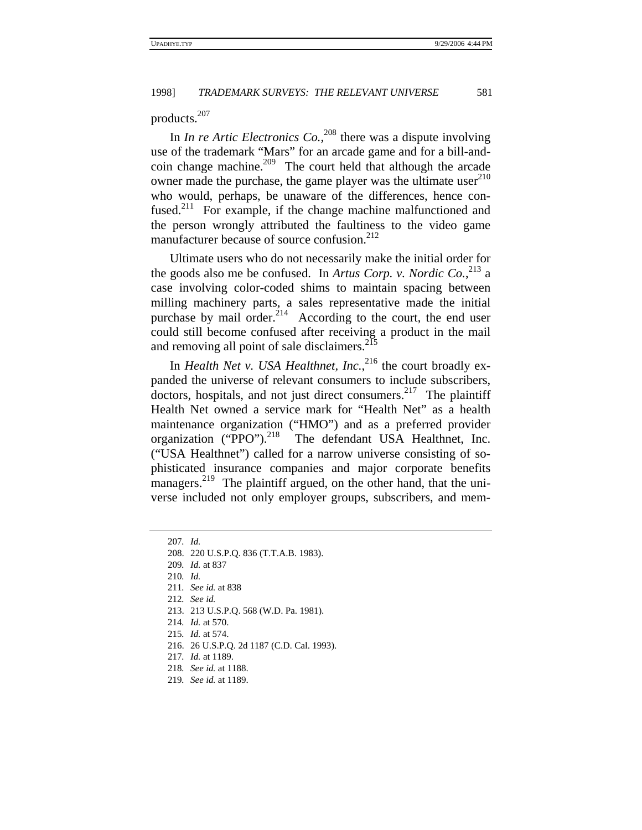products.207

In *In re Artic Electronics Co.*,<sup>208</sup> there was a dispute involving use of the trademark "Mars" for an arcade game and for a bill-andcoin change machine.<sup>209</sup> The court held that although the arcade owner made the purchase, the game player was the ultimate user $^{210}$ who would, perhaps, be unaware of the differences, hence confused.<sup>211</sup> For example, if the change machine malfunctioned and the person wrongly attributed the faultiness to the video game manufacturer because of source confusion. $2^{12}$ 

Ultimate users who do not necessarily make the initial order for the goods also me be confused. In *Artus Corp. v. Nordic Co.*, 213 a case involving color-coded shims to maintain spacing between milling machinery parts, a sales representative made the initial purchase by mail order.<sup>214</sup> According to the court, the end user could still become confused after receiving a product in the mail and removing all point of sale disclaimers.<sup>215</sup>

In *Health Net v. USA Healthnet, Inc.*,<sup>216</sup> the court broadly expanded the universe of relevant consumers to include subscribers, doctors, hospitals, and not just direct consumers.<sup>217</sup> The plaintiff Health Net owned a service mark for "Health Net" as a health maintenance organization ("HMO") and as a preferred provider organization ("PPO").<sup>218</sup> The defendant USA Healthnet, Inc. ("USA Healthnet") called for a narrow universe consisting of sophisticated insurance companies and major corporate benefits managers.<sup>219</sup> The plaintiff argued, on the other hand, that the universe included not only employer groups, subscribers, and mem-

- 211*. See id.* at 838
- 212*. See id.*
- 213. 213 U.S.P.Q. 568 (W.D. Pa. 1981).
- 214*. Id.* at 570.
- 215*. Id.* at 574.
- 216. 26 U.S.P.Q. 2d 1187 (C.D. Cal. 1993).
- 217*. Id.* at 1189.
- 218*. See id.* at 1188.
- 219*. See id.* at 1189.

<sup>207</sup>*. Id.*

<sup>208. 220</sup> U.S.P.Q. 836 (T.T.A.B. 1983).

<sup>209</sup>*. Id.* at 837

<sup>210</sup>*. Id.*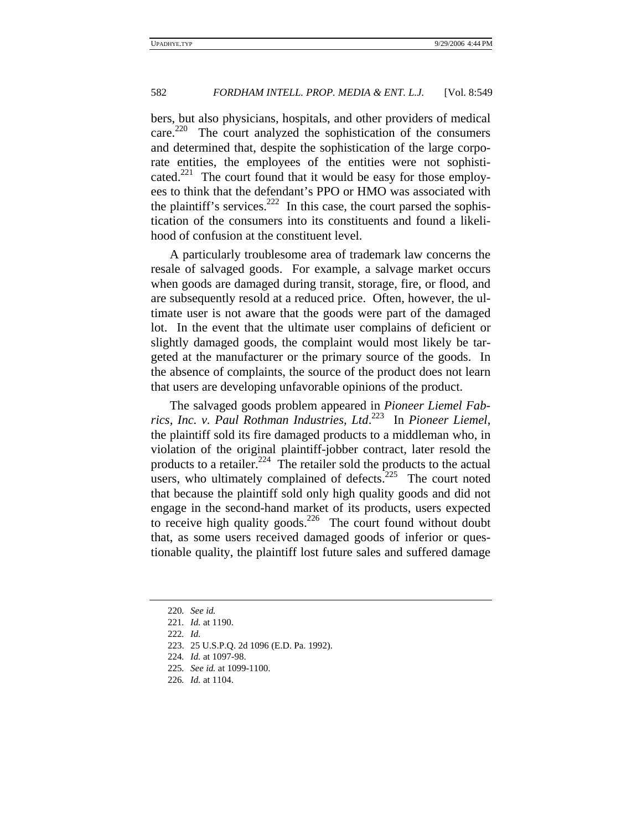bers, but also physicians, hospitals, and other providers of medical care.<sup>220</sup> The court analyzed the sophistication of the consumers and determined that, despite the sophistication of the large corporate entities, the employees of the entities were not sophisticated.<sup>221</sup> The court found that it would be easy for those employees to think that the defendant's PPO or HMO was associated with the plaintiff's services.<sup>222</sup> In this case, the court parsed the sophistication of the consumers into its constituents and found a likelihood of confusion at the constituent level.

A particularly troublesome area of trademark law concerns the resale of salvaged goods. For example, a salvage market occurs when goods are damaged during transit, storage, fire, or flood, and are subsequently resold at a reduced price. Often, however, the ultimate user is not aware that the goods were part of the damaged lot. In the event that the ultimate user complains of deficient or slightly damaged goods, the complaint would most likely be targeted at the manufacturer or the primary source of the goods. In the absence of complaints, the source of the product does not learn that users are developing unfavorable opinions of the product.

The salvaged goods problem appeared in *Pioneer Liemel Fabrics, Inc. v. Paul Rothman Industries, Ltd*. 223 In *Pioneer Liemel*, the plaintiff sold its fire damaged products to a middleman who, in violation of the original plaintiff-jobber contract, later resold the products to a retailer.<sup>224</sup> The retailer sold the products to the actual users, who ultimately complained of defects. $^{225}$  The court noted that because the plaintiff sold only high quality goods and did not engage in the second-hand market of its products, users expected to receive high quality goods.<sup>226</sup> The court found without doubt that, as some users received damaged goods of inferior or questionable quality, the plaintiff lost future sales and suffered damage

<sup>220</sup>*. See id.*

<sup>221</sup>*. Id.* at 1190.

<sup>222</sup>*. Id.*

<sup>223. 25</sup> U.S.P.Q. 2d 1096 (E.D. Pa. 1992).

<sup>224</sup>*. Id.* at 1097-98.

<sup>225</sup>*. See id.* at 1099-1100.

<sup>226</sup>*. Id.* at 1104.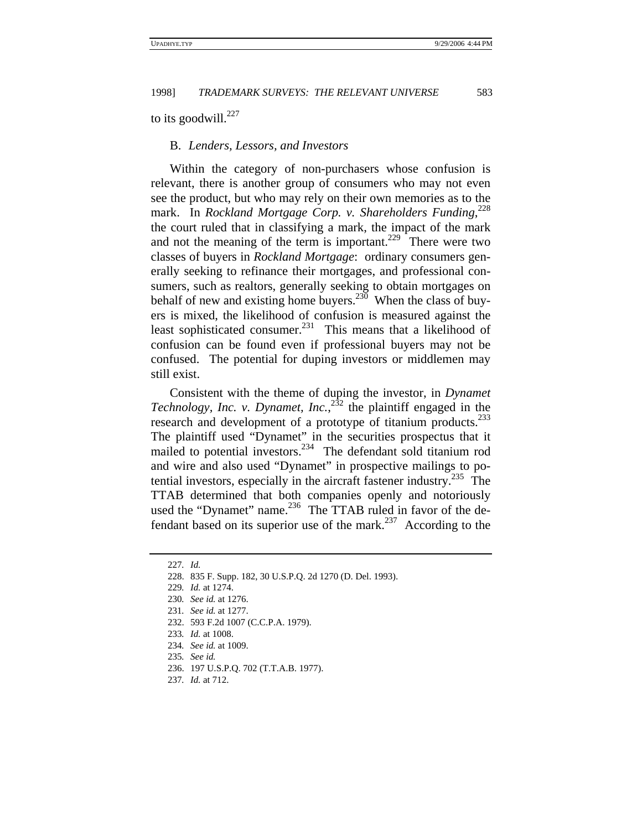to its goodwill. $227$ 

## B. *Lenders, Lessors, and Investors*

Within the category of non-purchasers whose confusion is relevant, there is another group of consumers who may not even see the product, but who may rely on their own memories as to the mark. In *Rockland Mortgage Corp. v. Shareholders Funding*, 228 the court ruled that in classifying a mark, the impact of the mark and not the meaning of the term is important.<sup>229</sup> There were two classes of buyers in *Rockland Mortgage*: ordinary consumers generally seeking to refinance their mortgages, and professional consumers, such as realtors, generally seeking to obtain mortgages on behalf of new and existing home buyers.<sup>230</sup> When the class of buyers is mixed, the likelihood of confusion is measured against the least sophisticated consumer.<sup>231</sup> This means that a likelihood of confusion can be found even if professional buyers may not be confused. The potential for duping investors or middlemen may still exist.

Consistent with the theme of duping the investor, in *Dynamet Technology, Inc. v. Dynamet, Inc.*,  $^{232}$  the plaintiff engaged in the research and development of a prototype of titanium products.<sup>233</sup> The plaintiff used "Dynamet" in the securities prospectus that it mailed to potential investors.<sup>234</sup> The defendant sold titanium rod and wire and also used "Dynamet" in prospective mailings to potential investors, especially in the aircraft fastener industry. $235$  The TTAB determined that both companies openly and notoriously used the "Dynamet" name.<sup>236</sup> The TTAB ruled in favor of the defendant based on its superior use of the mark.<sup>237</sup> According to the

<sup>227</sup>*. Id.*

<sup>228. 835</sup> F. Supp. 182, 30 U.S.P.Q. 2d 1270 (D. Del. 1993).

<sup>229</sup>*. Id.* at 1274.

<sup>230</sup>*. See id.* at 1276.

<sup>231</sup>*. See id.* at 1277.

<sup>232. 593</sup> F.2d 1007 (C.C.P.A. 1979).

<sup>233</sup>*. Id.* at 1008.

<sup>234</sup>*. See id.* at 1009.

<sup>235</sup>*. See id.*

<sup>236. 197</sup> U.S.P.Q. 702 (T.T.A.B. 1977).

<sup>237</sup>*. Id.* at 712.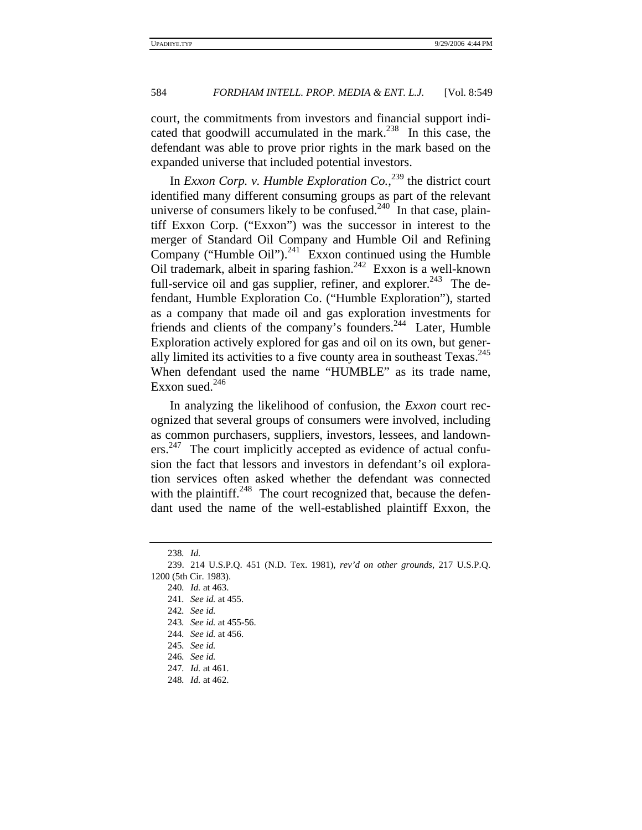court, the commitments from investors and financial support indicated that goodwill accumulated in the mark.<sup>238</sup> In this case, the defendant was able to prove prior rights in the mark based on the expanded universe that included potential investors.

In *Exxon Corp. v. Humble Exploration Co.*, 239 the district court identified many different consuming groups as part of the relevant universe of consumers likely to be confused.<sup>240</sup> In that case, plaintiff Exxon Corp. ("Exxon") was the successor in interest to the merger of Standard Oil Company and Humble Oil and Refining Company ("Humble Oil"). $^{241}$  Exxon continued using the Humble Oil trademark, albeit in sparing fashion.242 Exxon is a well-known full-service oil and gas supplier, refiner, and explorer.<sup>243</sup> The defendant, Humble Exploration Co. ("Humble Exploration"), started as a company that made oil and gas exploration investments for friends and clients of the company's founders.<sup>244</sup> Later, Humble Exploration actively explored for gas and oil on its own, but generally limited its activities to a five county area in southeast Texas.<sup>245</sup> When defendant used the name "HUMBLE" as its trade name, Exxon sued. $246$ 

In analyzing the likelihood of confusion, the *Exxon* court recognized that several groups of consumers were involved, including as common purchasers, suppliers, investors, lessees, and landowners.<sup>247</sup> The court implicitly accepted as evidence of actual confusion the fact that lessors and investors in defendant's oil exploration services often asked whether the defendant was connected with the plaintiff.<sup>248</sup> The court recognized that, because the defendant used the name of the well-established plaintiff Exxon, the

<sup>238</sup>*. Id.*

<sup>239. 214</sup> U.S.P.Q. 451 (N.D. Tex. 1981), *rev'd on other grounds*, 217 U.S.P.Q. 1200 (5th Cir. 1983).

<sup>240</sup>*. Id.* at 463.

<sup>241</sup>*. See id.* at 455.

<sup>242</sup>*. See id.*

<sup>243</sup>*. See id.* at 455-56.

<sup>244</sup>*. See id.* at 456.

<sup>245</sup>*. See id.*

<sup>246</sup>*. See id.*

<sup>247</sup>*. Id.* at 461.

<sup>248</sup>*. Id.* at 462.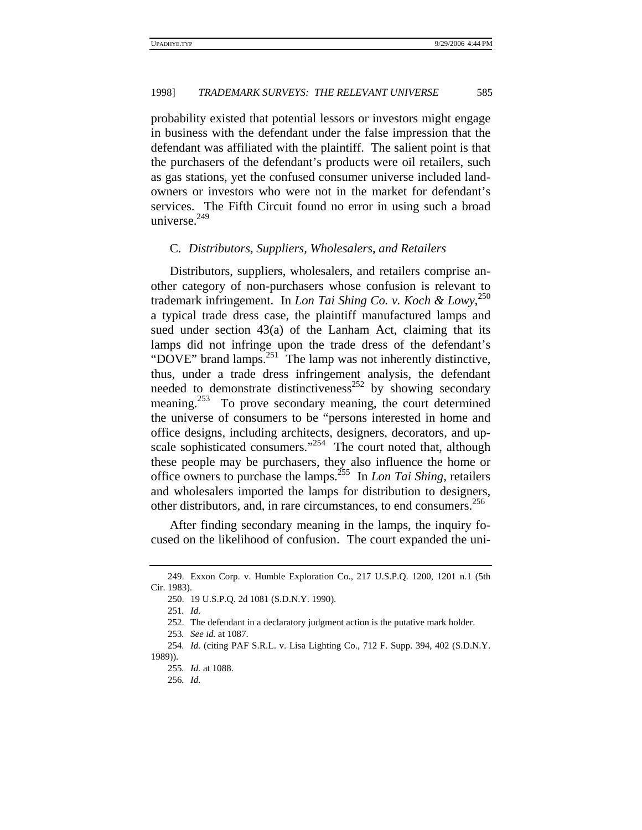probability existed that potential lessors or investors might engage in business with the defendant under the false impression that the defendant was affiliated with the plaintiff. The salient point is that the purchasers of the defendant's products were oil retailers, such as gas stations, yet the confused consumer universe included landowners or investors who were not in the market for defendant's services. The Fifth Circuit found no error in using such a broad universe. $249$ 

#### C. *Distributors, Suppliers, Wholesalers, and Retailers*

Distributors, suppliers, wholesalers, and retailers comprise another category of non-purchasers whose confusion is relevant to trademark infringement. In *Lon Tai Shing Co. v. Koch & Lowy*, 250 a typical trade dress case, the plaintiff manufactured lamps and sued under section 43(a) of the Lanham Act, claiming that its lamps did not infringe upon the trade dress of the defendant's "DOVE" brand lamps.<sup>251</sup> The lamp was not inherently distinctive, thus, under a trade dress infringement analysis, the defendant needed to demonstrate distinctiveness<sup>252</sup> by showing secondary meaning.<sup>253</sup> To prove secondary meaning, the court determined the universe of consumers to be "persons interested in home and office designs, including architects, designers, decorators, and upscale sophisticated consumers."<sup>254</sup> The court noted that, although these people may be purchasers, they also influence the home or office owners to purchase the lamps.255 In *Lon Tai Shing*, retailers and wholesalers imported the lamps for distribution to designers, other distributors, and, in rare circumstances, to end consumers.<sup>256</sup>

After finding secondary meaning in the lamps, the inquiry focused on the likelihood of confusion. The court expanded the uni-

251*. Id.*

252. The defendant in a declaratory judgment action is the putative mark holder.

<sup>249.</sup> Exxon Corp. v. Humble Exploration Co., 217 U.S.P.Q. 1200, 1201 n.1 (5th Cir. 1983).

<sup>250. 19</sup> U.S.P.Q. 2d 1081 (S.D.N.Y. 1990).

<sup>253</sup>*. See id.* at 1087.

<sup>254</sup>*. Id.* (citing PAF S.R.L. v. Lisa Lighting Co., 712 F. Supp. 394, 402 (S.D.N.Y. 1989)).

<sup>255</sup>*. Id.* at 1088.

<sup>256</sup>*. Id.*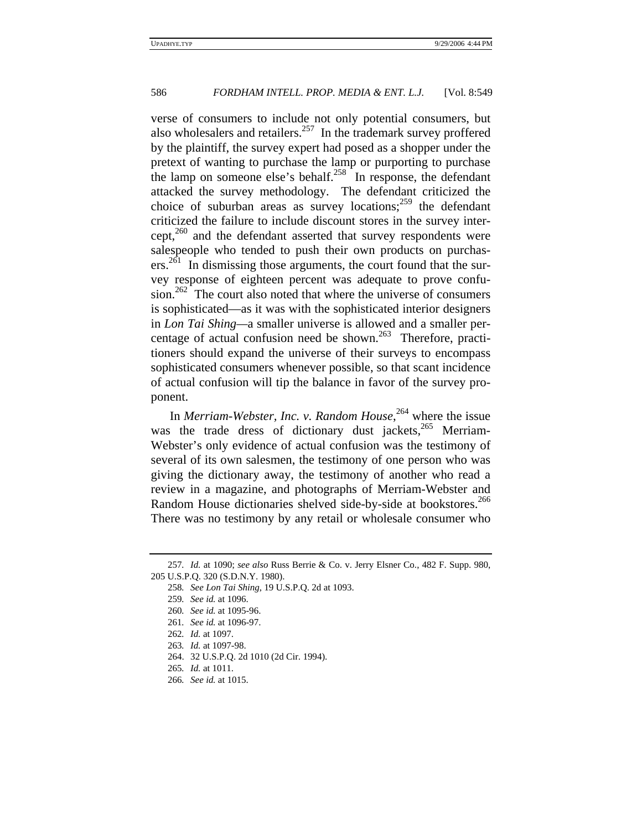verse of consumers to include not only potential consumers, but also wholesalers and retailers.<sup>257</sup> In the trademark survey proffered by the plaintiff, the survey expert had posed as a shopper under the pretext of wanting to purchase the lamp or purporting to purchase the lamp on someone else's behalf.<sup>258</sup> In response, the defendant attacked the survey methodology. The defendant criticized the choice of suburban areas as survey locations; $259$  the defendant criticized the failure to include discount stores in the survey inter $cept<sub>1</sub><sup>260</sup>$  and the defendant asserted that survey respondents were salespeople who tended to push their own products on purchasers.<sup>261</sup> In dismissing those arguments, the court found that the survey response of eighteen percent was adequate to prove confusion.<sup>262</sup> The court also noted that where the universe of consumers is sophisticated—as it was with the sophisticated interior designers in *Lon Tai Shing—*a smaller universe is allowed and a smaller percentage of actual confusion need be shown.<sup>263</sup> Therefore, practitioners should expand the universe of their surveys to encompass sophisticated consumers whenever possible, so that scant incidence of actual confusion will tip the balance in favor of the survey proponent.

In *Merriam-Webster, Inc. v. Random House*, 264 where the issue was the trade dress of dictionary dust jackets, $265$  Merriam-Webster's only evidence of actual confusion was the testimony of several of its own salesmen, the testimony of one person who was giving the dictionary away, the testimony of another who read a review in a magazine, and photographs of Merriam-Webster and Random House dictionaries shelved side-by-side at bookstores.<sup>266</sup> There was no testimony by any retail or wholesale consumer who

<sup>257</sup>*. Id.* at 1090; *see also* Russ Berrie & Co. v. Jerry Elsner Co., 482 F. Supp. 980, 205 U.S.P.Q. 320 (S.D.N.Y. 1980).

<sup>258</sup>*. See Lon Tai Shing*, 19 U.S.P.Q. 2d at 1093.

<sup>259</sup>*. See id.* at 1096.

<sup>260</sup>*. See id.* at 1095-96.

<sup>261</sup>*. See id.* at 1096-97.

<sup>262</sup>*. Id.* at 1097.

<sup>263</sup>*. Id.* at 1097-98.

<sup>264. 32</sup> U.S.P.Q. 2d 1010 (2d Cir. 1994).

<sup>265</sup>*. Id.* at 1011.

<sup>266</sup>*. See id.* at 1015.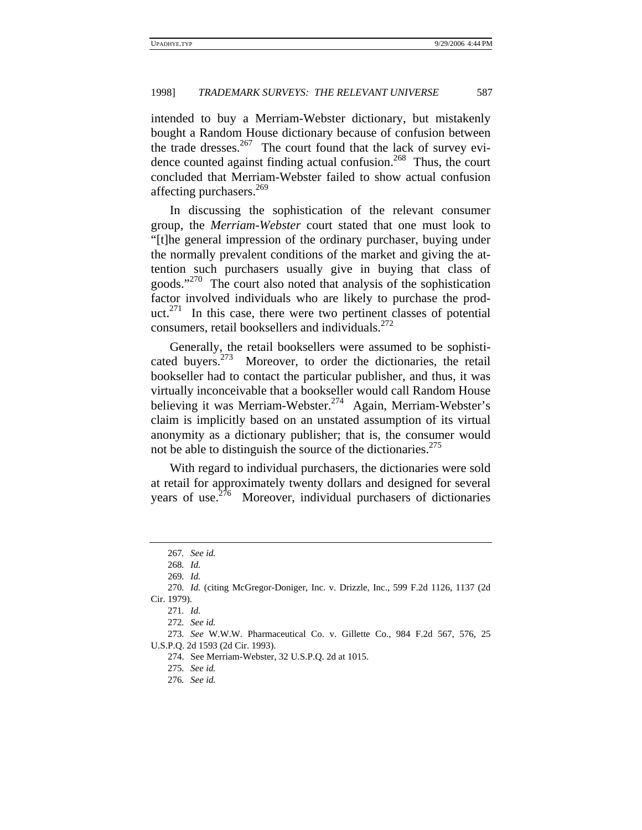intended to buy a Merriam-Webster dictionary, but mistakenly bought a Random House dictionary because of confusion between the trade dresses. $267$  The court found that the lack of survey evidence counted against finding actual confusion.<sup>268</sup> Thus, the court concluded that Merriam-Webster failed to show actual confusion affecting purchasers.<sup>269</sup>

In discussing the sophistication of the relevant consumer group, the *Merriam-Webster* court stated that one must look to "[t]he general impression of the ordinary purchaser, buying under the normally prevalent conditions of the market and giving the attention such purchasers usually give in buying that class of goods."<sup>270</sup> The court also noted that analysis of the sophistication factor involved individuals who are likely to purchase the product.<sup>271</sup> In this case, there were two pertinent classes of potential consumers, retail booksellers and individuals. $272$ 

Generally, the retail booksellers were assumed to be sophisticated buyers.273 Moreover, to order the dictionaries, the retail bookseller had to contact the particular publisher, and thus, it was virtually inconceivable that a bookseller would call Random House believing it was Merriam-Webster.<sup>274</sup> Again, Merriam-Webster's claim is implicitly based on an unstated assumption of its virtual anonymity as a dictionary publisher; that is, the consumer would not be able to distinguish the source of the dictionaries. $275$ 

With regard to individual purchasers, the dictionaries were sold at retail for approximately twenty dollars and designed for several years of use. $2^{76}$  Moreover, individual purchasers of dictionaries

<sup>267</sup>*. See id.*

<sup>268</sup>*. Id.*

<sup>269</sup>*. Id.*

<sup>270</sup>*. Id.* (citing McGregor-Doniger, Inc. v. Drizzle, Inc., 599 F.2d 1126, 1137 (2d Cir. 1979).

<sup>271</sup>*. Id.*

<sup>272</sup>*. See id.*

<sup>273</sup>*. See* W.W.W. Pharmaceutical Co. v. Gillette Co., 984 F.2d 567, 576, 25 U.S.P.Q. 2d 1593 (2d Cir. 1993).

<sup>274.</sup> See Merriam-Webster, 32 U.S.P.Q. 2d at 1015.

<sup>275</sup>*. See id.*

<sup>276</sup>*. See id.*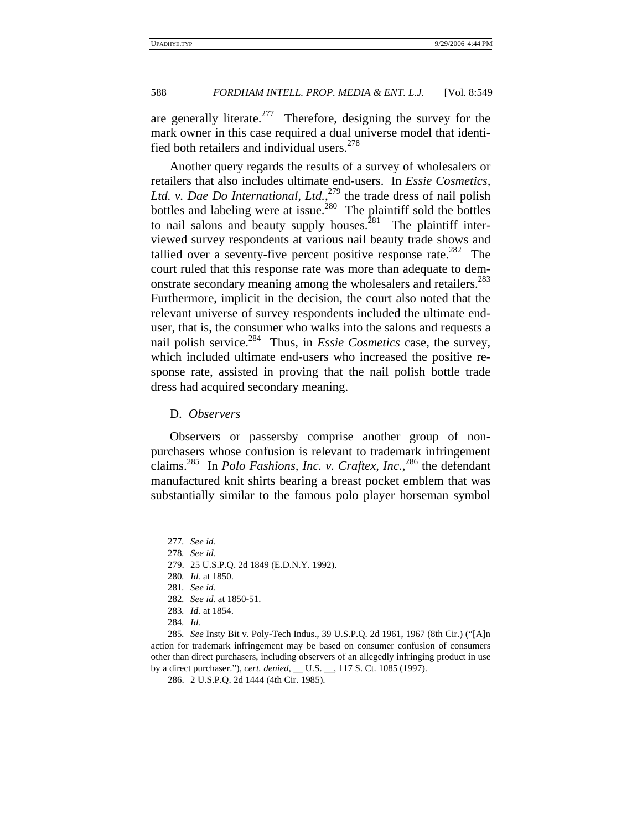are generally literate.<sup>277</sup> Therefore, designing the survey for the mark owner in this case required a dual universe model that identified both retailers and individual users.  $278$ 

Another query regards the results of a survey of wholesalers or retailers that also includes ultimate end-users. In *Essie Cosmetics, Ltd. v. Dae Do International, Ltd.*, 279 the trade dress of nail polish bottles and labeling were at issue.<sup>280</sup> The plaintiff sold the bottles to nail salons and beauty supply houses.<sup>281</sup> The plaintiff interviewed survey respondents at various nail beauty trade shows and tallied over a seventy-five percent positive response rate.<sup>282</sup> The court ruled that this response rate was more than adequate to demonstrate secondary meaning among the wholesalers and retailers.<sup>283</sup> Furthermore, implicit in the decision, the court also noted that the relevant universe of survey respondents included the ultimate enduser, that is, the consumer who walks into the salons and requests a nail polish service.<sup>284</sup> Thus, in *Essie Cosmetics* case, the survey, which included ultimate end-users who increased the positive response rate, assisted in proving that the nail polish bottle trade dress had acquired secondary meaning.

#### D. *Observers*

Observers or passersby comprise another group of nonpurchasers whose confusion is relevant to trademark infringement claims.285 In *Polo Fashions, Inc. v. Craftex, Inc.*, 286 the defendant manufactured knit shirts bearing a breast pocket emblem that was substantially similar to the famous polo player horseman symbol

<sup>277</sup>*. See id.*

<sup>278</sup>*. See id.*

<sup>279. 25</sup> U.S.P.Q. 2d 1849 (E.D.N.Y. 1992).

<sup>280</sup>*. Id.* at 1850.

<sup>281</sup>*. See id.*

<sup>282</sup>*. See id.* at 1850-51.

<sup>283</sup>*. Id.* at 1854.

<sup>284</sup>*. Id.*

<sup>285</sup>*. See* Insty Bit v. Poly-Tech Indus., 39 U.S.P.Q. 2d 1961, 1967 (8th Cir.) ("[A]n action for trademark infringement may be based on consumer confusion of consumers other than direct purchasers, including observers of an allegedly infringing product in use by a direct purchaser."), *cert. denied*, \_\_ U.S. \_\_, 117 S. Ct. 1085 (1997).

<sup>286. 2</sup> U.S.P.Q. 2d 1444 (4th Cir. 1985).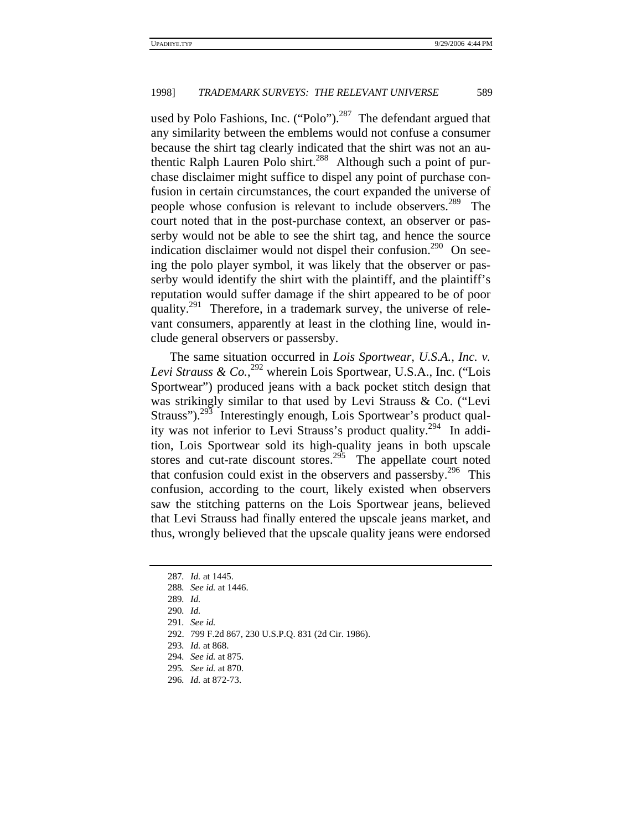used by Polo Fashions, Inc. ("Polo").<sup>287</sup> The defendant argued that any similarity between the emblems would not confuse a consumer because the shirt tag clearly indicated that the shirt was not an authentic Ralph Lauren Polo shirt.<sup>288</sup> Although such a point of purchase disclaimer might suffice to dispel any point of purchase confusion in certain circumstances, the court expanded the universe of people whose confusion is relevant to include observers.<sup>289</sup> The court noted that in the post-purchase context, an observer or passerby would not be able to see the shirt tag, and hence the source indication disclaimer would not dispel their confusion.<sup>290</sup> On seeing the polo player symbol, it was likely that the observer or passerby would identify the shirt with the plaintiff, and the plaintiff's reputation would suffer damage if the shirt appeared to be of poor quality.<sup>291</sup> Therefore, in a trademark survey, the universe of relevant consumers, apparently at least in the clothing line, would include general observers or passersby.

The same situation occurred in *Lois Sportwear, U.S.A., Inc. v.*  Levi Strauss & Co.,<sup>292</sup> wherein Lois Sportwear, U.S.A., Inc. ("Lois Sportwear") produced jeans with a back pocket stitch design that was strikingly similar to that used by Levi Strauss & Co. ("Levi Strauss").<sup>293</sup> Interestingly enough, Lois Sportwear's product quality was not inferior to Levi Strauss's product quality.<sup>294</sup> In addition, Lois Sportwear sold its high-quality jeans in both upscale stores and cut-rate discount stores.<sup>295</sup> The appellate court noted that confusion could exist in the observers and passersby.<sup>296</sup> This confusion, according to the court, likely existed when observers saw the stitching patterns on the Lois Sportwear jeans, believed that Levi Strauss had finally entered the upscale jeans market, and thus, wrongly believed that the upscale quality jeans were endorsed

292. 799 F.2d 867, 230 U.S.P.Q. 831 (2d Cir. 1986).

<sup>287</sup>*. Id.* at 1445.

<sup>288</sup>*. See id.* at 1446.

<sup>289</sup>*. Id.*

<sup>290</sup>*. Id.*

<sup>291</sup>*. See id.*

<sup>293</sup>*. Id.* at 868.

<sup>294</sup>*. See id.* at 875.

<sup>295</sup>*. See id.* at 870.

<sup>296</sup>*. Id.* at 872-73.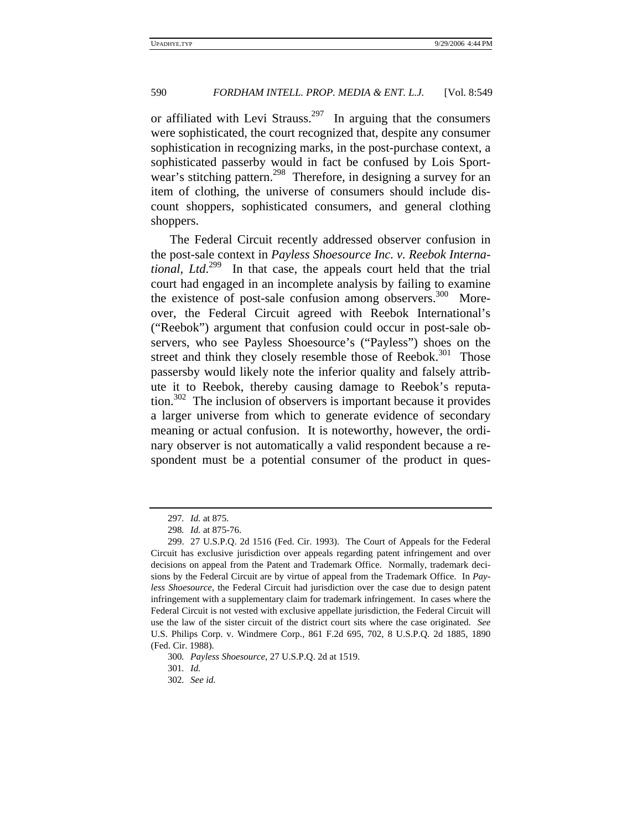or affiliated with Levi Strauss.<sup>297</sup> In arguing that the consumers were sophisticated, the court recognized that, despite any consumer sophistication in recognizing marks, in the post-purchase context, a sophisticated passerby would in fact be confused by Lois Sportwear's stitching pattern.<sup>298</sup> Therefore, in designing a survey for an item of clothing, the universe of consumers should include discount shoppers, sophisticated consumers, and general clothing shoppers.

The Federal Circuit recently addressed observer confusion in the post-sale context in *Payless Shoesource Inc. v. Reebok International, Ltd*. 299 In that case, the appeals court held that the trial court had engaged in an incomplete analysis by failing to examine the existence of post-sale confusion among observers. $300$  Moreover, the Federal Circuit agreed with Reebok International's ("Reebok") argument that confusion could occur in post-sale observers, who see Payless Shoesource's ("Payless") shoes on the street and think they closely resemble those of Reebok.<sup>301</sup> Those passersby would likely note the inferior quality and falsely attribute it to Reebok, thereby causing damage to Reebok's reputation.<sup>302</sup> The inclusion of observers is important because it provides a larger universe from which to generate evidence of secondary meaning or actual confusion. It is noteworthy, however, the ordinary observer is not automatically a valid respondent because a respondent must be a potential consumer of the product in ques-

<sup>297</sup>*. Id.* at 875.

<sup>298</sup>*. Id.* at 875-76.

<sup>299. 27</sup> U.S.P.Q. 2d 1516 (Fed. Cir. 1993). The Court of Appeals for the Federal Circuit has exclusive jurisdiction over appeals regarding patent infringement and over decisions on appeal from the Patent and Trademark Office. Normally, trademark decisions by the Federal Circuit are by virtue of appeal from the Trademark Office. In *Payless Shoesource*, the Federal Circuit had jurisdiction over the case due to design patent infringement with a supplementary claim for trademark infringement. In cases where the Federal Circuit is not vested with exclusive appellate jurisdiction, the Federal Circuit will use the law of the sister circuit of the district court sits where the case originated. *See* U.S. Philips Corp. v. Windmere Corp., 861 F.2d 695, 702, 8 U.S.P.Q. 2d 1885, 1890 (Fed. Cir. 1988).

<sup>300</sup>*. Payless Shoesource*, 27 U.S.P.Q. 2d at 1519.

<sup>301</sup>*. Id.*

<sup>302</sup>*. See id*.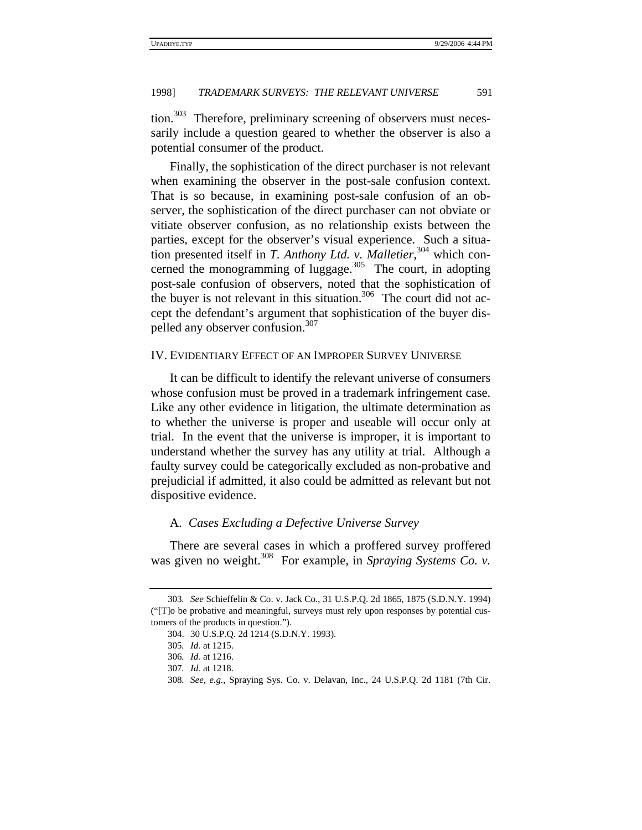tion.<sup>303</sup> Therefore, preliminary screening of observers must necessarily include a question geared to whether the observer is also a potential consumer of the product.

Finally, the sophistication of the direct purchaser is not relevant when examining the observer in the post-sale confusion context. That is so because, in examining post-sale confusion of an observer, the sophistication of the direct purchaser can not obviate or vitiate observer confusion, as no relationship exists between the parties, except for the observer's visual experience. Such a situation presented itself in *T. Anthony Ltd. v. Malletier*,<sup>304</sup> which concerned the monogramming of luggage. $305$  The court, in adopting post-sale confusion of observers, noted that the sophistication of the buyer is not relevant in this situation. $306$  The court did not accept the defendant's argument that sophistication of the buyer dispelled any observer confusion.<sup>307</sup>

#### IV. EVIDENTIARY EFFECT OF AN IMPROPER SURVEY UNIVERSE

It can be difficult to identify the relevant universe of consumers whose confusion must be proved in a trademark infringement case. Like any other evidence in litigation, the ultimate determination as to whether the universe is proper and useable will occur only at trial. In the event that the universe is improper, it is important to understand whether the survey has any utility at trial. Although a faulty survey could be categorically excluded as non-probative and prejudicial if admitted, it also could be admitted as relevant but not dispositive evidence.

## A. *Cases Excluding a Defective Universe Survey*

There are several cases in which a proffered survey proffered was given no weight.<sup>308</sup> For example, in *Spraying Systems Co. v.* 

<sup>303</sup>*. See* Schieffelin & Co. v. Jack Co., 31 U.S.P.Q. 2d 1865, 1875 (S.D.N.Y. 1994) ("[T]o be probative and meaningful, surveys must rely upon responses by potential customers of the products in question.").

<sup>304. 30</sup> U.S.P.Q. 2d 1214 (S.D.N.Y. 1993).

<sup>305</sup>*. Id.* at 1215.

<sup>306</sup>*. Id.* at 1216.

<sup>307</sup>*. Id.* at 1218.

<sup>308</sup>*. See, e.g.*, Spraying Sys. Co. v. Delavan, Inc., 24 U.S.P.Q. 2d 1181 (7th Cir.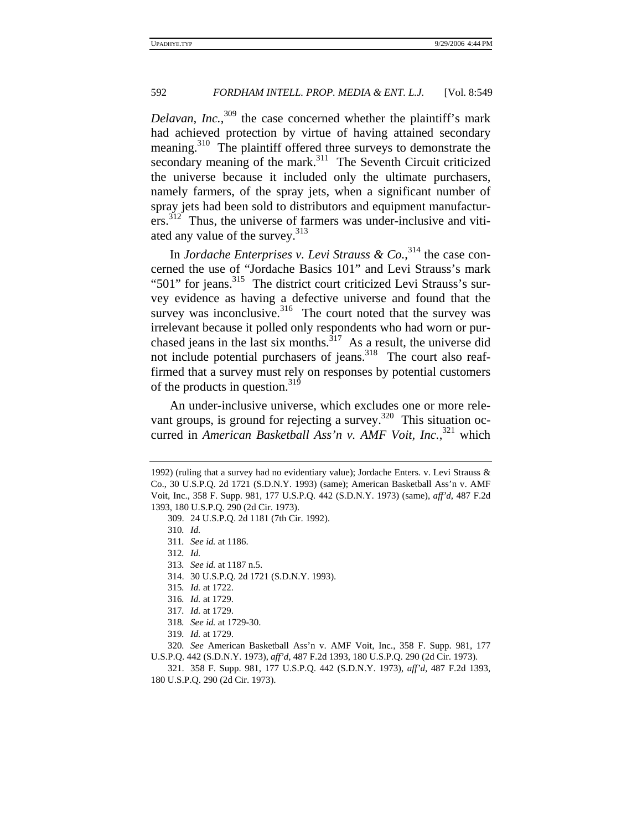*Delavan, Inc.*, 309 the case concerned whether the plaintiff's mark had achieved protection by virtue of having attained secondary meaning.310 The plaintiff offered three surveys to demonstrate the secondary meaning of the mark.<sup>311</sup> The Seventh Circuit criticized the universe because it included only the ultimate purchasers, namely farmers, of the spray jets, when a significant number of spray jets had been sold to distributors and equipment manufacturers.<sup>312</sup> Thus, the universe of farmers was under-inclusive and vitiated any value of the survey.<sup>313</sup>

In *Jordache Enterprises v. Levi Strauss & Co.*,<sup>314</sup> the case concerned the use of "Jordache Basics 101" and Levi Strauss's mark "501" for jeans.<sup>315</sup> The district court criticized Levi Strauss's survey evidence as having a defective universe and found that the survey was inconclusive.<sup>316</sup> The court noted that the survey was irrelevant because it polled only respondents who had worn or purchased jeans in the last six months. $317$  As a result, the universe did not include potential purchasers of jeans.<sup>318</sup> The court also reaffirmed that a survey must rely on responses by potential customers of the products in question.<sup>319</sup>

An under-inclusive universe, which excludes one or more relevant groups, is ground for rejecting a survey.<sup>320</sup> This situation occurred in *American Basketball Ass'n v. AMF Voit, Inc.*,<sup>321</sup> which

- 312*. Id.*
- 313*. See id.* at 1187 n.5.
- 314. 30 U.S.P.Q. 2d 1721 (S.D.N.Y. 1993).
- 315*. Id.* at 1722.
- 316*. Id.* at 1729.
- 317*. Id.* at 1729.
- 318*. See id.* at 1729-30.
- 319*. Id.* at 1729.

320*. See* American Basketball Ass'n v. AMF Voit, Inc., 358 F. Supp. 981, 177 U.S.P.Q. 442 (S.D.N.Y. 1973), *aff'd*, 487 F.2d 1393, 180 U.S.P.Q. 290 (2d Cir. 1973).

321. 358 F. Supp. 981, 177 U.S.P.Q. 442 (S.D.N.Y. 1973), *aff'd*, 487 F.2d 1393, 180 U.S.P.Q. 290 (2d Cir. 1973).

<sup>1992) (</sup>ruling that a survey had no evidentiary value); Jordache Enters. v. Levi Strauss & Co., 30 U.S.P.Q. 2d 1721 (S.D.N.Y. 1993) (same); American Basketball Ass'n v. AMF Voit, Inc., 358 F. Supp. 981, 177 U.S.P.Q. 442 (S.D.N.Y. 1973) (same), *aff'd*, 487 F.2d 1393, 180 U.S.P.Q. 290 (2d Cir. 1973).

<sup>309. 24</sup> U.S.P.Q. 2d 1181 (7th Cir. 1992).

<sup>310</sup>*. Id.*

<sup>311</sup>*. See id.* at 1186.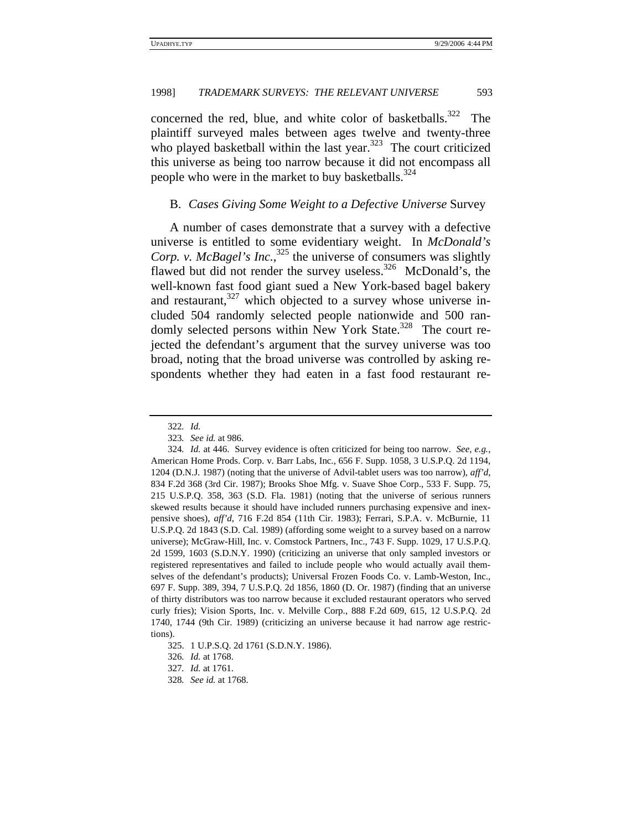concerned the red, blue, and white color of basketballs.<sup>322</sup> The plaintiff surveyed males between ages twelve and twenty-three who played basketball within the last year. $323$  The court criticized this universe as being too narrow because it did not encompass all people who were in the market to buy basketballs. $324$ 

## B. *Cases Giving Some Weight to a Defective Universe* Survey

A number of cases demonstrate that a survey with a defective universe is entitled to some evidentiary weight. In *McDonald's*  Corp. v. McBagel's Inc.,<sup>325</sup> the universe of consumers was slightly flawed but did not render the survey useless.<sup>326</sup> McDonald's, the well-known fast food giant sued a New York-based bagel bakery and restaurant, $327$  which objected to a survey whose universe included 504 randomly selected people nationwide and 500 randomly selected persons within New York State.<sup>328</sup> The court rejected the defendant's argument that the survey universe was too broad, noting that the broad universe was controlled by asking respondents whether they had eaten in a fast food restaurant re-

<sup>322</sup>*. Id.*

<sup>323</sup>*. See id.* at 986.

<sup>324</sup>*. Id.* at 446. Survey evidence is often criticized for being too narrow. *See, e.g.*, American Home Prods. Corp. v. Barr Labs, Inc., 656 F. Supp. 1058, 3 U.S.P.Q. 2d 1194, 1204 (D.N.J. 1987) (noting that the universe of Advil-tablet users was too narrow), *aff'd*, 834 F.2d 368 (3rd Cir. 1987); Brooks Shoe Mfg. v. Suave Shoe Corp., 533 F. Supp. 75, 215 U.S.P.Q. 358, 363 (S.D. Fla. 1981) (noting that the universe of serious runners skewed results because it should have included runners purchasing expensive and inexpensive shoes), *aff'd*, 716 F.2d 854 (11th Cir. 1983); Ferrari, S.P.A. v. McBurnie, 11 U.S.P.Q. 2d 1843 (S.D. Cal. 1989) (affording some weight to a survey based on a narrow universe); McGraw-Hill, Inc. v. Comstock Partners, Inc., 743 F. Supp. 1029, 17 U.S.P.Q. 2d 1599, 1603 (S.D.N.Y. 1990) (criticizing an universe that only sampled investors or registered representatives and failed to include people who would actually avail themselves of the defendant's products); Universal Frozen Foods Co. v. Lamb-Weston, Inc., 697 F. Supp. 389, 394, 7 U.S.P.Q. 2d 1856, 1860 (D. Or. 1987) (finding that an universe of thirty distributors was too narrow because it excluded restaurant operators who served curly fries); Vision Sports, Inc. v. Melville Corp., 888 F.2d 609, 615, 12 U.S.P.Q. 2d 1740, 1744 (9th Cir. 1989) (criticizing an universe because it had narrow age restrictions).

<sup>325. 1</sup> U.P.S.Q. 2d 1761 (S.D.N.Y. 1986).

<sup>326</sup>*. Id.* at 1768.

<sup>327</sup>*. Id.* at 1761.

<sup>328</sup>*. See id.* at 1768.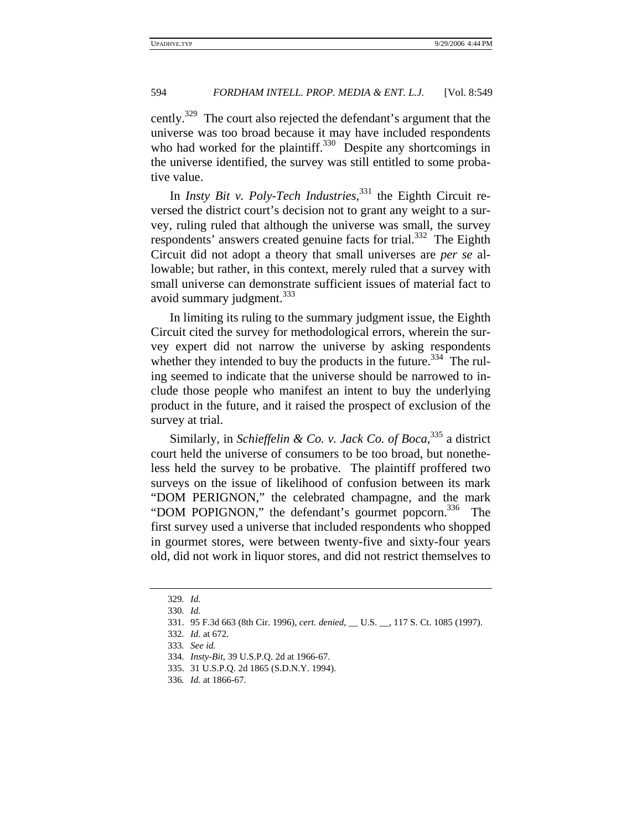cently.<sup>329</sup> The court also rejected the defendant's argument that the universe was too broad because it may have included respondents who had worked for the plaintiff.<sup>330</sup> Despite any shortcomings in the universe identified, the survey was still entitled to some probative value.

In *Insty Bit v. Poly-Tech Industries*, 331 the Eighth Circuit reversed the district court's decision not to grant any weight to a survey, ruling ruled that although the universe was small, the survey respondents' answers created genuine facts for trial.<sup>332</sup> The Eighth Circuit did not adopt a theory that small universes are *per se* allowable; but rather, in this context, merely ruled that a survey with small universe can demonstrate sufficient issues of material fact to avoid summary judgment.<sup>333</sup>

In limiting its ruling to the summary judgment issue, the Eighth Circuit cited the survey for methodological errors, wherein the survey expert did not narrow the universe by asking respondents whether they intended to buy the products in the future.<sup>334</sup> The ruling seemed to indicate that the universe should be narrowed to include those people who manifest an intent to buy the underlying product in the future, and it raised the prospect of exclusion of the survey at trial.

Similarly, in *Schieffelin & Co. v. Jack Co. of Boca*, 335 a district court held the universe of consumers to be too broad, but nonetheless held the survey to be probative. The plaintiff proffered two surveys on the issue of likelihood of confusion between its mark "DOM PERIGNON," the celebrated champagne, and the mark "DOM POPIGNON," the defendant's gourmet popcorn.<sup>336</sup> The first survey used a universe that included respondents who shopped in gourmet stores, were between twenty-five and sixty-four years old, did not work in liquor stores, and did not restrict themselves to

<sup>329</sup>*. Id.*

<sup>330</sup>*. Id.*

<sup>331. 95</sup> F.3d 663 (8th Cir. 1996), *cert. denied*, \_\_ U.S. \_\_, 117 S. Ct. 1085 (1997).

<sup>332</sup>*. Id.* at 672.

<sup>333</sup>*. See id.*

<sup>334</sup>*. Insty-Bit*, 39 U.S.P.Q. 2d at 1966-67.

<sup>335. 31</sup> U.S.P.Q. 2d 1865 (S.D.N.Y. 1994).

<sup>336</sup>*. Id.* at 1866-67.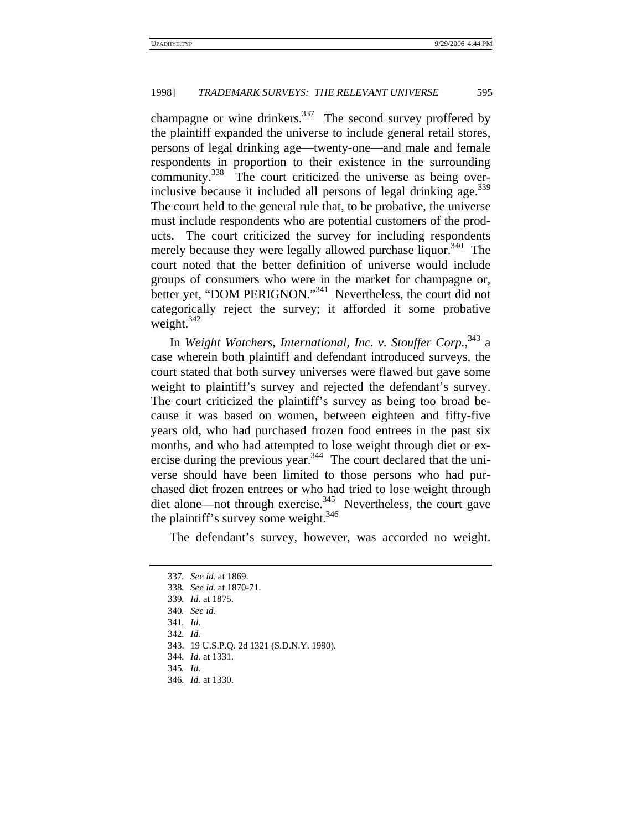champagne or wine drinkers.<sup>337</sup> The second survey proffered by the plaintiff expanded the universe to include general retail stores, persons of legal drinking age—twenty-one—and male and female respondents in proportion to their existence in the surrounding community.<sup>338</sup> The court criticized the universe as being overinclusive because it included all persons of legal drinking age.  $339$ The court held to the general rule that, to be probative, the universe must include respondents who are potential customers of the products. The court criticized the survey for including respondents merely because they were legally allowed purchase liquor.<sup>340</sup> The court noted that the better definition of universe would include groups of consumers who were in the market for champagne or, better yet, "DOM PERIGNON."<sup>341</sup> Nevertheless, the court did not categorically reject the survey; it afforded it some probative weight. $342$ 

In *Weight Watchers, International, Inc. v. Stouffer Corp.*, 343 a case wherein both plaintiff and defendant introduced surveys, the court stated that both survey universes were flawed but gave some weight to plaintiff's survey and rejected the defendant's survey. The court criticized the plaintiff's survey as being too broad because it was based on women, between eighteen and fifty-five years old, who had purchased frozen food entrees in the past six months, and who had attempted to lose weight through diet or exercise during the previous year.<sup>344</sup> The court declared that the universe should have been limited to those persons who had purchased diet frozen entrees or who had tried to lose weight through diet alone—not through exercise.<sup>345</sup> Nevertheless, the court gave the plaintiff's survey some weight. $346$ 

The defendant's survey, however, was accorded no weight.

<sup>337</sup>*. See id.* at 1869. 338*. See id.* at 1870-71. 339*. Id.* at 1875. 340*. See id.* 341*. Id.* 342*. Id.* 343. 19 U.S.P.Q. 2d 1321 (S.D.N.Y. 1990). 344*. Id.* at 1331. 345*. Id.* 346*. Id.* at 1330.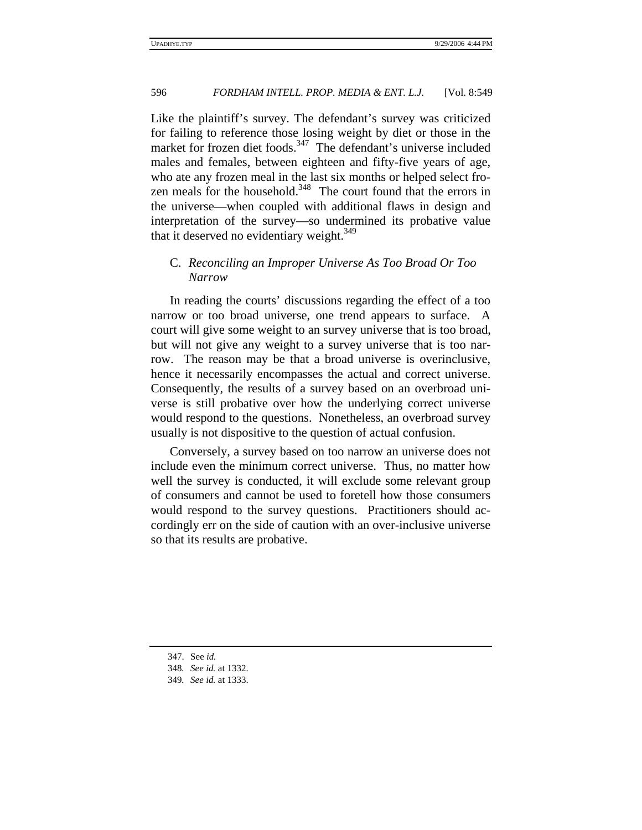Like the plaintiff's survey. The defendant's survey was criticized for failing to reference those losing weight by diet or those in the market for frozen diet foods.<sup>347</sup> The defendant's universe included males and females, between eighteen and fifty-five years of age, who ate any frozen meal in the last six months or helped select frozen meals for the household. $348$  The court found that the errors in the universe—when coupled with additional flaws in design and interpretation of the survey—so undermined its probative value that it deserved no evidentiary weight. $349$ 

# C. *Reconciling an Improper Universe As Too Broad Or Too Narrow*

In reading the courts' discussions regarding the effect of a too narrow or too broad universe, one trend appears to surface. A court will give some weight to an survey universe that is too broad, but will not give any weight to a survey universe that is too narrow. The reason may be that a broad universe is overinclusive, hence it necessarily encompasses the actual and correct universe. Consequently, the results of a survey based on an overbroad universe is still probative over how the underlying correct universe would respond to the questions. Nonetheless, an overbroad survey usually is not dispositive to the question of actual confusion.

Conversely, a survey based on too narrow an universe does not include even the minimum correct universe. Thus, no matter how well the survey is conducted, it will exclude some relevant group of consumers and cannot be used to foretell how those consumers would respond to the survey questions. Practitioners should accordingly err on the side of caution with an over-inclusive universe so that its results are probative.

<sup>347.</sup> See *id.*

<sup>348</sup>*. See id.* at 1332.

<sup>349</sup>*. See id.* at 1333.